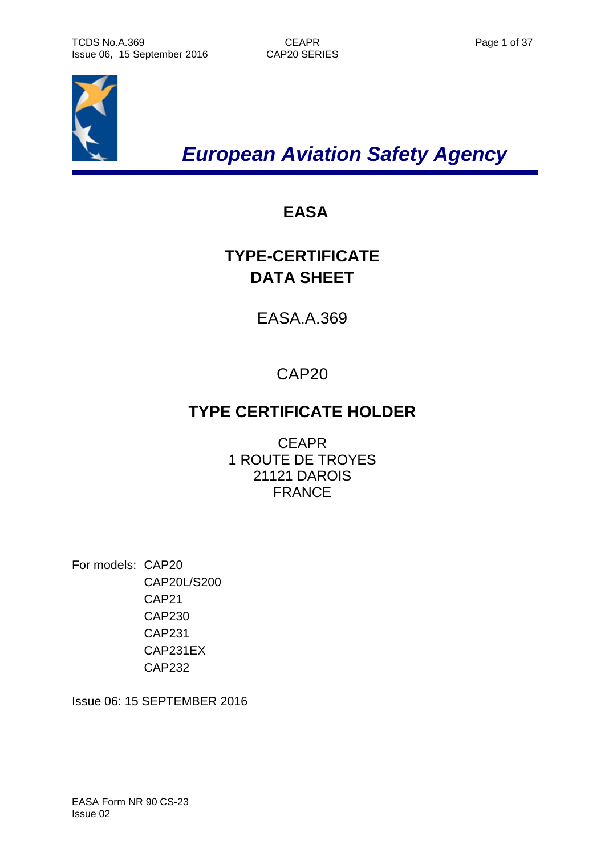

*European Aviation Safety Agency*

# **EASA**

# **TYPE-CERTIFICATE DATA SHEET**

EASA.A.369

# CAP20

# **TYPE CERTIFICATE HOLDER**

**CEAPR** 1 ROUTE DE TROYES 21121 DAROIS FRANCE

For models: CAP20 CAP20L/S200 CAP21 CAP230 CAP231 CAP231EX CAP232

Issue 06: 15 SEPTEMBER 2016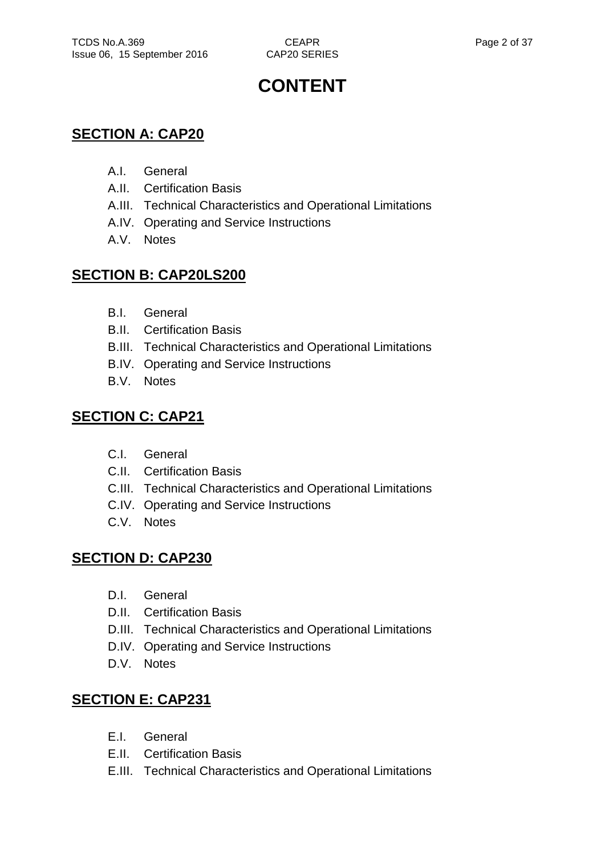# **CONTENT**

# **SECTION A: CAP20**

- A.I. General
- A.II. Certification Basis
- A.III. Technical Characteristics and Operational Limitations
- A.IV. Operating and Service Instructions
- A.V. Notes

# **SECTION B: CAP20LS200**

- B.I. General
- B.II. Certification Basis
- B.III. Technical Characteristics and Operational Limitations
- B.IV. Operating and Service Instructions
- B.V. Notes

# **SECTION C: CAP21**

- C.I. General
- C.II. Certification Basis
- C.III. Technical Characteristics and Operational Limitations
- C.IV. Operating and Service Instructions
- C.V. Notes

# **SECTION D: CAP230**

- D.I. General
- D.II. Certification Basis
- D.III. Technical Characteristics and Operational Limitations
- D.IV. Operating and Service Instructions
- D.V. Notes

# **SECTION E: CAP231**

- E.I. General
- E.II. Certification Basis
- E.III. Technical Characteristics and Operational Limitations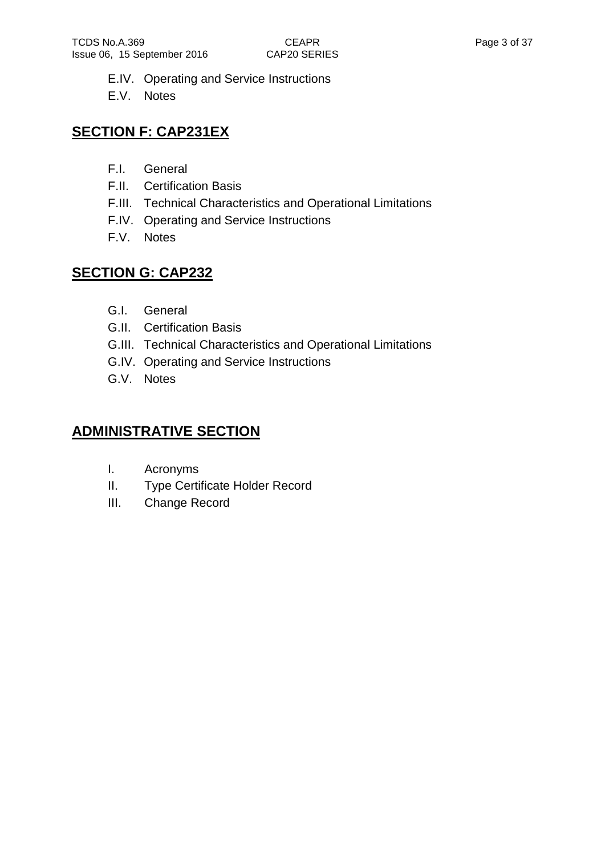- E.IV. Operating and Service Instructions
- E.V. Notes

# **SECTION F: CAP231EX**

- F.I. General
- F.II. Certification Basis
- F.III. Technical Characteristics and Operational Limitations
- F.IV. Operating and Service Instructions
- F.V. Notes

# **SECTION G: CAP232**

- G.I. General
- G.II. Certification Basis
- G.III. Technical Characteristics and Operational Limitations
- G.IV. Operating and Service Instructions
- G.V. Notes

# **ADMINISTRATIVE SECTION**

- I. Acronyms
- II. Type Certificate Holder Record
- III. Change Record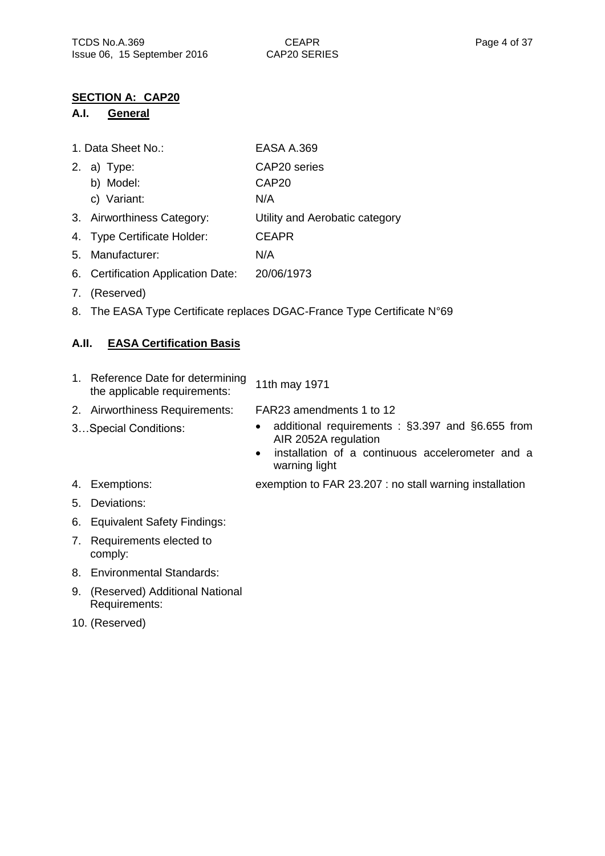### **SECTION A: CAP20**

### **A.I. General**

| 1. Data Sheet No.: | <b>EASA A.369</b> |
|--------------------|-------------------|
|                    |                   |

- 2. a) Type: CAP20 series
	- b) Model: CAP20
	- c) Variant: N/A
- 3. Airworthiness Category: Utility and Aerobatic category
- 4. Type Certificate Holder: CEAPR
- 5. Manufacturer: N/A
- 6. Certification Application Date: 20/06/1973
- 7. (Reserved)
- 8. The EASA Type Certificate replaces DGAC-France Type Certificate N°69

## **A.II. EASA Certification Basis**

- 1. Reference Date for determining Reference Date for determining 11th may 1971<br>the applicable requirements:
- 2. Airworthiness Requirements: FAR23 amendments 1 to 12
- 
- 3...Special Conditions: additional requirements : §3.397 and §6.655 from AIR 2052A regulation
	- installation of a continuous accelerometer and a warning light
- 4. Exemptions: exemption to FAR 23.207 : no stall warning installation
- 5. Deviations:
- 6. Equivalent Safety Findings:
- 7. Requirements elected to comply:
- 8. Environmental Standards:
- 9. (Reserved) Additional National Requirements:
- 10. (Reserved)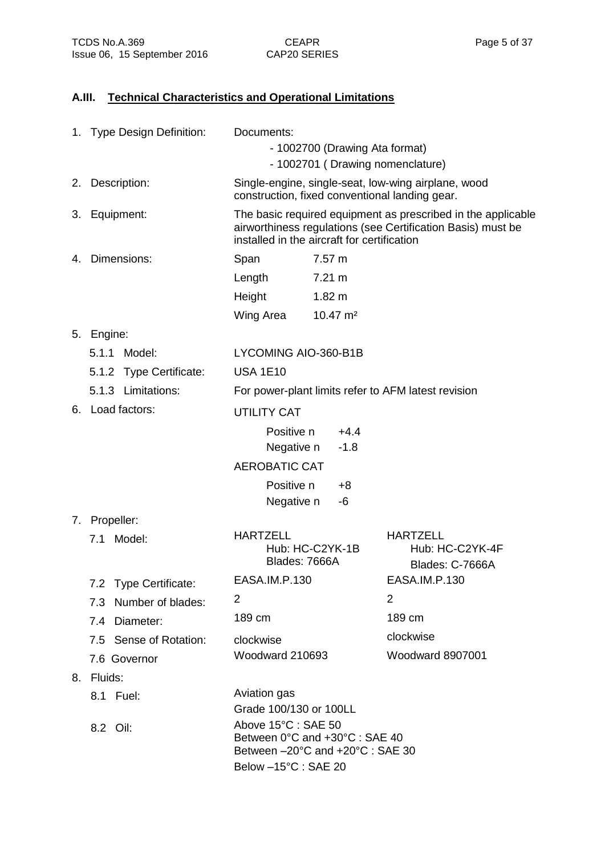# **A.III. Technical Characteristics and Operational Limitations**

|    | 1. Type Design Definition: | Documents:<br>- 1002700 (Drawing Ata format)<br>- 1002701 (Drawing nomenclature)          |                     |                                                                                                                             |
|----|----------------------------|-------------------------------------------------------------------------------------------|---------------------|-----------------------------------------------------------------------------------------------------------------------------|
|    |                            |                                                                                           |                     |                                                                                                                             |
| 2. | Description:               | construction, fixed conventional landing gear.                                            |                     | Single-engine, single-seat, low-wing airplane, wood                                                                         |
|    | 3. Equipment:              | installed in the aircraft for certification                                               |                     | The basic required equipment as prescribed in the applicable<br>airworthiness regulations (see Certification Basis) must be |
| 4. | Dimensions:                | Span                                                                                      | 7.57 m              |                                                                                                                             |
|    |                            | Length                                                                                    | 7.21 m              |                                                                                                                             |
|    |                            | Height                                                                                    | $1.82 \text{ m}$    |                                                                                                                             |
|    |                            | Wing Area                                                                                 | $10.47 \text{ m}^2$ |                                                                                                                             |
|    | 5. Engine:                 |                                                                                           |                     |                                                                                                                             |
|    | 5.1.1<br>Model:            | LYCOMING AIO-360-B1B                                                                      |                     |                                                                                                                             |
|    | 5.1.2 Type Certificate:    | <b>USA 1E10</b>                                                                           |                     |                                                                                                                             |
|    | 5.1.3 Limitations:         |                                                                                           |                     | For power-plant limits refer to AFM latest revision                                                                         |
|    | 6. Load factors:           | <b>UTILITY CAT</b>                                                                        |                     |                                                                                                                             |
|    |                            | Positive n                                                                                | $+4.4$              |                                                                                                                             |
|    |                            | Negative n                                                                                | $-1.8$              |                                                                                                                             |
|    |                            | <b>AEROBATIC CAT</b>                                                                      |                     |                                                                                                                             |
|    |                            | Positive n                                                                                | +8                  |                                                                                                                             |
|    |                            | Negative n                                                                                | -6                  |                                                                                                                             |
|    | 7. Propeller:              |                                                                                           |                     |                                                                                                                             |
|    | 7.1 Model:                 | <b>HARTZELL</b><br>Blades: 7666A                                                          | Hub: HC-C2YK-1B     | <b>HARTZELL</b><br>Hub: HC-C2YK-4F<br>Blades: C-7666A                                                                       |
|    | 7.2 Type Certificate:      | EASA.IM.P.130                                                                             |                     | EASA.IM.P.130                                                                                                               |
|    | 7.3 Number of blades:      | 2                                                                                         |                     | 2                                                                                                                           |
|    | 7.4 Diameter:              | 189 cm                                                                                    |                     | 189 cm                                                                                                                      |
|    | 7.5 Sense of Rotation:     | clockwise                                                                                 |                     | clockwise                                                                                                                   |
|    | 7.6 Governor               | Woodward 210693                                                                           |                     | Woodward 8907001                                                                                                            |
|    | 8. Fluids:                 |                                                                                           |                     |                                                                                                                             |
|    | 8.1 Fuel:                  | Aviation gas                                                                              |                     |                                                                                                                             |
|    |                            | Grade 100/130 or 100LL                                                                    |                     |                                                                                                                             |
|    | 8.2 Oil:                   | Above 15°C : SAE 50<br>Between 0°C and +30°C : SAE 40<br>Between -20°C and +20°C : SAE 30 |                     |                                                                                                                             |
|    |                            | Below -15°C : SAE 20                                                                      |                     |                                                                                                                             |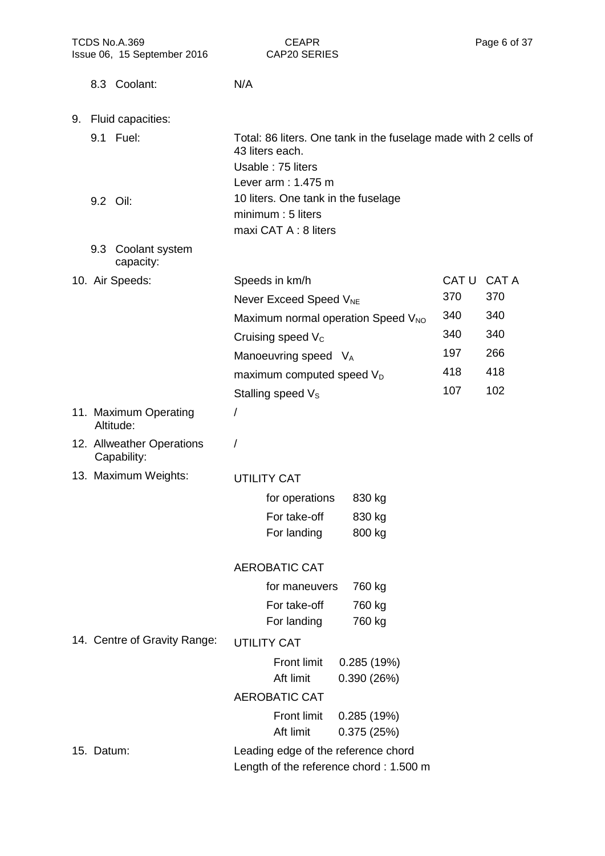| TCDS No.A.369<br>Issue 06, 15 September 2016 |                              | <b>CEAPR</b><br>CAP20 SERIES                                                                                                  |                         | Page 6 of 37 |
|----------------------------------------------|------------------------------|-------------------------------------------------------------------------------------------------------------------------------|-------------------------|--------------|
| 8.3 Coolant:                                 |                              | N/A                                                                                                                           |                         |              |
| 9. Fluid capacities:                         |                              |                                                                                                                               |                         |              |
| 9.1 Fuel:                                    |                              | Total: 86 liters. One tank in the fuselage made with 2 cells of<br>43 liters each.<br>Usable: 75 liters<br>Lever arm: 1.475 m |                         |              |
| 9.2 Oil:                                     |                              | 10 liters. One tank in the fuselage<br>minimum: 5 liters<br>maxi CAT A : 8 liters                                             |                         |              |
| 9.3 Coolant system<br>capacity:              |                              |                                                                                                                               |                         |              |
| 10. Air Speeds:                              |                              | Speeds in km/h<br>Never Exceed Speed V <sub>NE</sub>                                                                          | CAT <sub>U</sub><br>370 | CAT A<br>370 |
|                                              |                              | Maximum normal operation Speed V <sub>NO</sub>                                                                                | 340                     | 340          |
|                                              |                              | Cruising speed V <sub>c</sub>                                                                                                 | 340                     | 340          |
|                                              |                              | Manoeuvring speed VA                                                                                                          | 197                     | 266          |
|                                              |                              | maximum computed speed V <sub>D</sub>                                                                                         | 418                     | 418          |
|                                              |                              | Stalling speed V <sub>s</sub>                                                                                                 | 107                     | 102          |
| 11. Maximum Operating<br>Altitude:           |                              | $\prime$                                                                                                                      |                         |              |
| 12. Allweather Operations<br>Capability:     |                              | Ι                                                                                                                             |                         |              |
| 13. Maximum Weights:                         |                              | <b>UTILITY CAT</b>                                                                                                            |                         |              |
|                                              |                              | for operations<br>830 kg                                                                                                      |                         |              |
|                                              |                              | For take-off<br>830 kg                                                                                                        |                         |              |
|                                              |                              | For landing<br>800 kg                                                                                                         |                         |              |
|                                              |                              | <b>AEROBATIC CAT</b>                                                                                                          |                         |              |
|                                              |                              | for maneuvers<br>760 kg                                                                                                       |                         |              |
|                                              |                              | For take-off<br>760 kg                                                                                                        |                         |              |
|                                              |                              | For landing<br>760 kg                                                                                                         |                         |              |
|                                              | 14. Centre of Gravity Range: | <b>UTILITY CAT</b>                                                                                                            |                         |              |
|                                              |                              | <b>Front limit</b><br>0.285(19%)<br>Aft limit<br>0.390(26%)                                                                   |                         |              |
|                                              |                              | <b>AEROBATIC CAT</b>                                                                                                          |                         |              |
|                                              |                              | <b>Front limit</b><br>0.285(19%)<br>Aft limit<br>0.375(25%)                                                                   |                         |              |
| 15. Datum:                                   |                              | Leading edge of the reference chord<br>Length of the reference chord: 1.500 m                                                 |                         |              |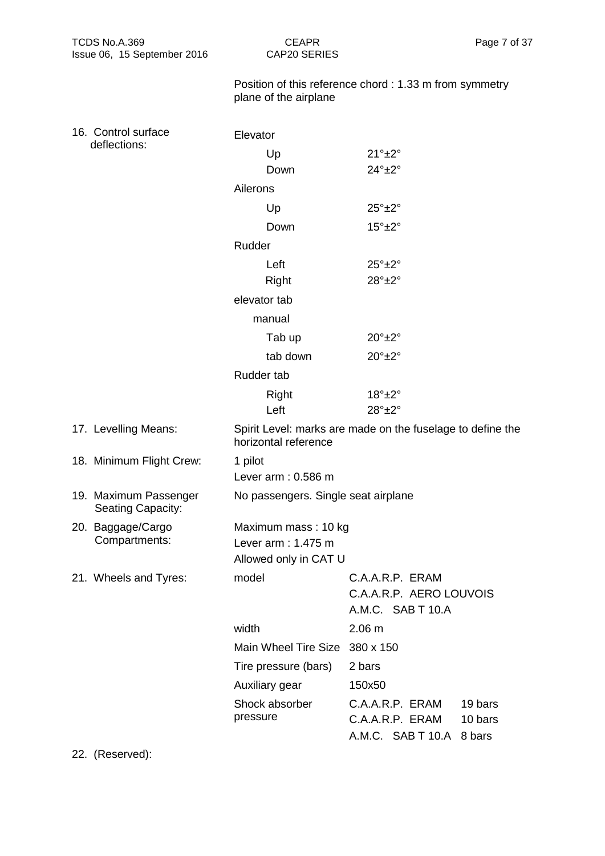| TCDS No.A.369<br>Issue 06, 15 September 2016 | <b>CEAPR</b><br>Page 7 of 37<br>CAP20 SERIES                       |                                                                                         |  |
|----------------------------------------------|--------------------------------------------------------------------|-----------------------------------------------------------------------------------------|--|
|                                              | plane of the airplane                                              | Position of this reference chord: 1.33 m from symmetry                                  |  |
| 16. Control surface                          | Elevator                                                           |                                                                                         |  |
| deflections:                                 | Up                                                                 | $21^\circ \pm 2^\circ$                                                                  |  |
|                                              | Down                                                               | $24^{\circ}$ ±2°                                                                        |  |
|                                              | Ailerons                                                           |                                                                                         |  |
|                                              | Up                                                                 | $25^\circ \pm 2^\circ$                                                                  |  |
|                                              | Down                                                               | $15^\circ \pm 2^\circ$                                                                  |  |
|                                              | Rudder                                                             |                                                                                         |  |
|                                              | Left                                                               | $25^\circ \pm 2^\circ$                                                                  |  |
|                                              | Right                                                              | $28^\circ \pm 2^\circ$                                                                  |  |
|                                              | elevator tab                                                       |                                                                                         |  |
|                                              | manual                                                             |                                                                                         |  |
|                                              | Tab up                                                             | $20^\circ \pm 2^\circ$                                                                  |  |
|                                              | $20^\circ \pm 2^\circ$<br>tab down                                 |                                                                                         |  |
|                                              | Rudder tab                                                         |                                                                                         |  |
|                                              | Right                                                              | $18^\circ \pm 2^\circ$                                                                  |  |
|                                              | Left                                                               | $28^\circ \pm 2^\circ$                                                                  |  |
| 17. Levelling Means:                         | horizontal reference                                               | Spirit Level: marks are made on the fuselage to define the                              |  |
| 18. Minimum Flight Crew:                     | 1 pilot                                                            |                                                                                         |  |
|                                              | Lever arm: 0.586 m                                                 |                                                                                         |  |
| 19. Maximum Passenger<br>Seating Capacity:   | No passengers. Single seat airplane                                |                                                                                         |  |
| 20. Baggage/Cargo<br>Compartments:           | Maximum mass: 10 kg<br>Lever arm: 1.475 m<br>Allowed only in CAT U |                                                                                         |  |
| 21. Wheels and Tyres:                        | model                                                              | C.A.A.R.P. ERAM<br>C.A.A.R.P. AERO LOUVOIS<br>A.M.C. SAB T 10.A                         |  |
|                                              | width                                                              | 2.06 m                                                                                  |  |
|                                              | Main Wheel Tire Size 380 x 150                                     |                                                                                         |  |
|                                              | Tire pressure (bars)                                               | 2 bars                                                                                  |  |
|                                              | Auxiliary gear                                                     | 150x50                                                                                  |  |
|                                              | Shock absorber<br>pressure                                         | C.A.A.R.P. ERAM<br>19 bars<br>C.A.A.R.P. ERAM<br>10 bars<br>A.M.C. SAB T 10.A<br>8 bars |  |

22. (Reserved):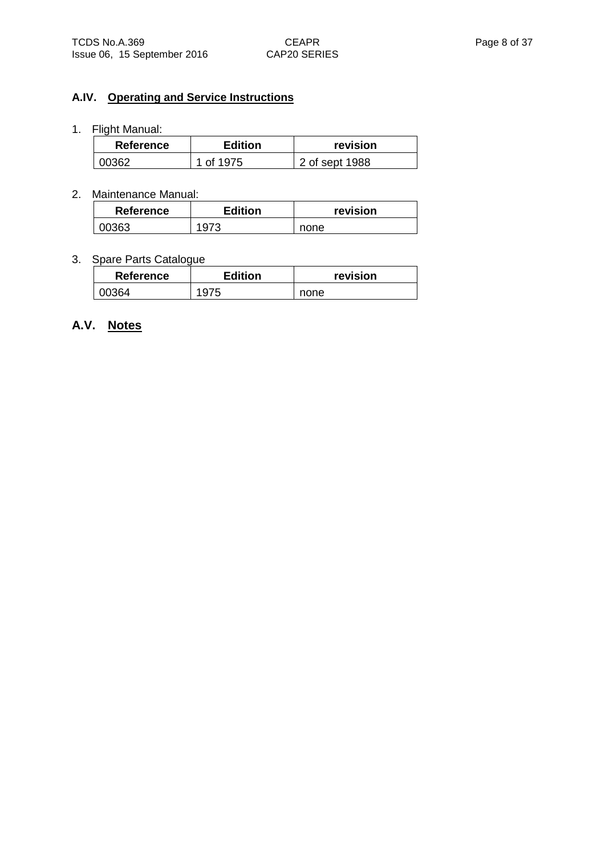### **A.IV. Operating and Service Instructions**

1. Flight Manual:

| <b>Edition</b><br><b>Reference</b> |           | revision       |
|------------------------------------|-----------|----------------|
| <b>00362</b>                       | 1 of 1975 | 2 of sept 1988 |

#### 2. Maintenance Manual:

| <b>Reference</b> | <b>Edition</b> | revision |
|------------------|----------------|----------|
| 00363            | 1073           | none     |

### 3. Spare Parts Catalogue

| <b>Reference</b> | <b>Edition</b> | revision |
|------------------|----------------|----------|
| 00364            |                | none     |

# **A.V. Notes**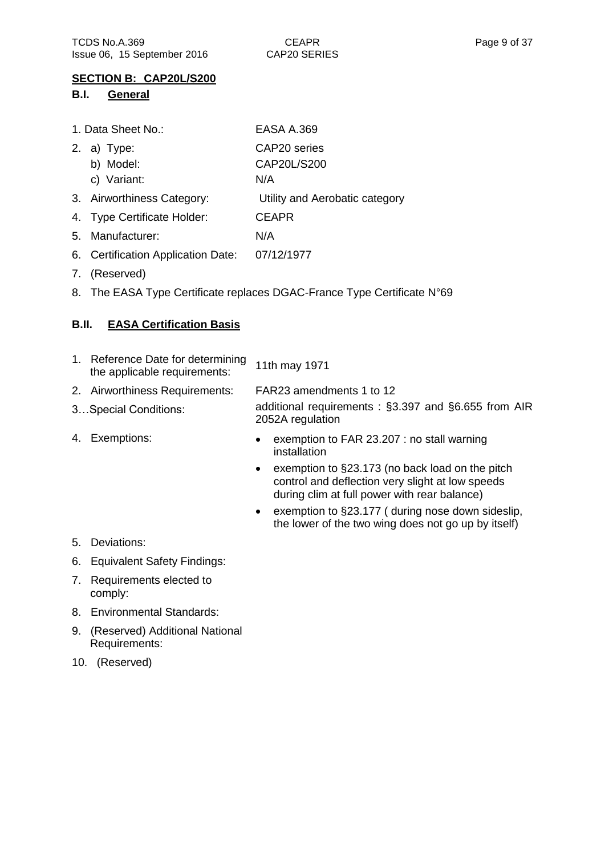#### **SECTION B: CAP20L/S200**

#### **B.I. General**

|    | 1. Data Sheet No.:                 | <b>EASA A.369</b>              |
|----|------------------------------------|--------------------------------|
| 2. | a) Type:                           | CAP20 series                   |
|    | b) Model:                          | CAP20L/S200                    |
|    | c) Variant:                        | N/A                            |
|    | 3. Airworthiness Category:         | Utility and Aerobatic category |
|    | 4. Type Certificate Holder:        | <b>CEAPR</b>                   |
| 5. | Manufacturer:                      | N/A                            |
|    | 6. Certification Application Date: | 07/12/1977                     |

- 7. (Reserved)
- 8. The EASA Type Certificate replaces DGAC-France Type Certificate N°69

### **B.II. EASA Certification Basis**

| 1. Reference Date for determining<br>the applicable requirements: | 11th may 1971                                                                                                                                                    |
|-------------------------------------------------------------------|------------------------------------------------------------------------------------------------------------------------------------------------------------------|
| 2. Airworthiness Requirements:                                    | FAR23 amendments 1 to 12                                                                                                                                         |
| 3Special Conditions:                                              | additional requirements: §3.397 and §6.655 from AIR<br>2052A regulation                                                                                          |
| 4. Exemptions:                                                    | exemption to FAR 23.207 : no stall warning<br>$\bullet$<br>installation                                                                                          |
|                                                                   | exemption to §23.173 (no back load on the pitch<br>$\bullet$<br>control and deflection very slight at low speeds<br>during clim at full power with rear balance) |

 exemption to §23.177 ( during nose down sideslip, the lower of the two wing does not go up by itself)

- 5. Deviations:
- 6. Equivalent Safety Findings:
- 7. Requirements elected to comply:
- 8. Environmental Standards:
- 9. (Reserved) Additional National Requirements:
- 10. (Reserved)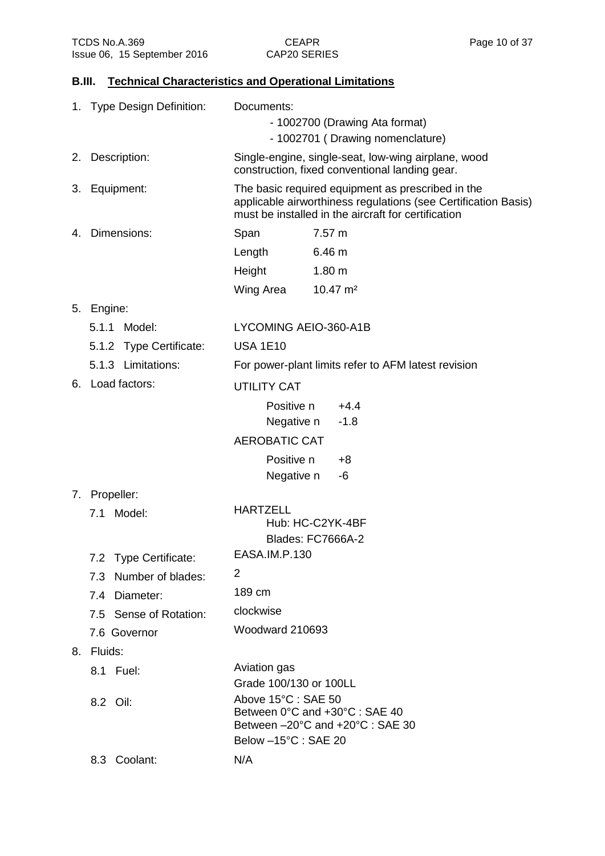## **B.III. Technical Characteristics and Operational Limitations**

| 1. Type Design Definition: | Documents:<br>- 1002700 (Drawing Ata format)                                                                                                                               |  |
|----------------------------|----------------------------------------------------------------------------------------------------------------------------------------------------------------------------|--|
|                            | - 1002701 (Drawing nomenclature)                                                                                                                                           |  |
| 2. Description:            | Single-engine, single-seat, low-wing airplane, wood<br>construction, fixed conventional landing gear.                                                                      |  |
| 3. Equipment:              | The basic required equipment as prescribed in the<br>applicable airworthiness regulations (see Certification Basis)<br>must be installed in the aircraft for certification |  |
| 4. Dimensions:             | Span<br>$7.57 \text{ m}$                                                                                                                                                   |  |
|                            | Length<br>6.46 m                                                                                                                                                           |  |
|                            | 1.80 <sub>m</sub><br>Height                                                                                                                                                |  |
|                            | Wing Area<br>$10.47 \text{ m}^2$                                                                                                                                           |  |
| 5. Engine:                 |                                                                                                                                                                            |  |
| 5.1.1 Model:               | LYCOMING AEIO-360-A1B                                                                                                                                                      |  |
| 5.1.2 Type Certificate:    | <b>USA 1E10</b>                                                                                                                                                            |  |
| 5.1.3 Limitations:         | For power-plant limits refer to AFM latest revision                                                                                                                        |  |
| 6. Load factors:           | <b>UTILITY CAT</b>                                                                                                                                                         |  |
|                            | Positive n<br>$+4.4$                                                                                                                                                       |  |
|                            | Negative n<br>$-1.8$                                                                                                                                                       |  |
|                            | <b>AEROBATIC CAT</b>                                                                                                                                                       |  |
|                            | Positive n<br>$+8$                                                                                                                                                         |  |
|                            | Negative n<br>-6                                                                                                                                                           |  |
| 7. Propeller:              |                                                                                                                                                                            |  |
| 7.1 Model:                 | <b>HARTZELL</b><br>Hub: HC-C2YK-4BF<br>Blades: FC7666A-2                                                                                                                   |  |
| 7.2 Type Certificate:      | EASA.IM.P.130                                                                                                                                                              |  |
| 7.3 Number of blades:      | 2                                                                                                                                                                          |  |
| 7.4 Diameter:              | 189 cm                                                                                                                                                                     |  |
| 7.5 Sense of Rotation:     | clockwise                                                                                                                                                                  |  |
| 7.6 Governor               | Woodward 210693                                                                                                                                                            |  |
| 8. Fluids:                 |                                                                                                                                                                            |  |
| 8.1 Fuel:                  | Aviation gas<br>Grade 100/130 or 100LL                                                                                                                                     |  |
| 8.2 Oil:                   | Above 15°C : SAE 50<br>Between 0°C and +30°C : SAE 40<br>Between -20°C and +20°C : SAE 30                                                                                  |  |
|                            | Below -15°C: SAE 20                                                                                                                                                        |  |
| 8.3 Coolant:               | N/A                                                                                                                                                                        |  |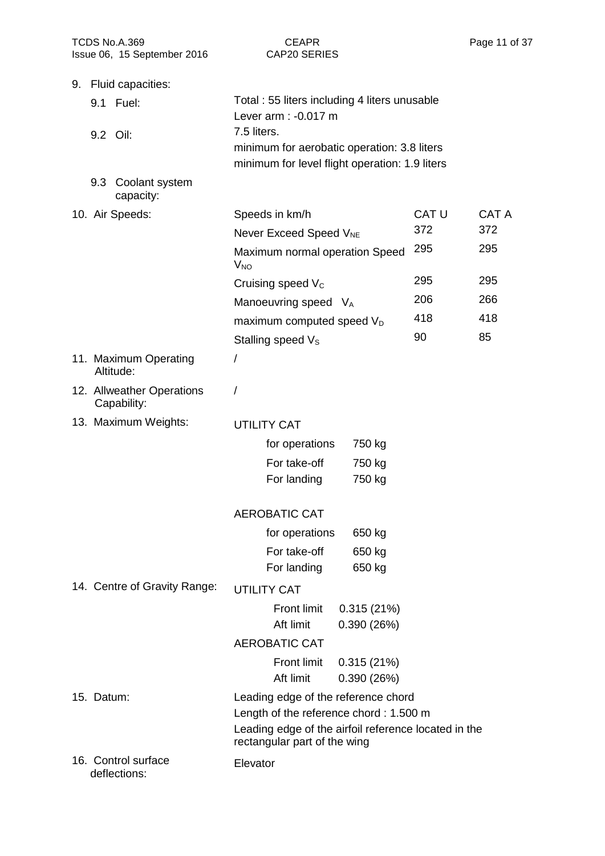| TCDS No.A.369<br>Issue 06, 15 September 2016 | <b>CEAPR</b><br><b>CAP20 SERIES</b>                                                  | Page 11               |
|----------------------------------------------|--------------------------------------------------------------------------------------|-----------------------|
| 9. Fluid capacities:                         |                                                                                      |                       |
| 9.1 Fuel:                                    | Total: 55 liters including 4 liters unusable<br>Lever arm : -0.017 m                 |                       |
| 9.2 Oil:                                     | 7.5 liters.                                                                          |                       |
|                                              | minimum for aerobatic operation: 3.8 liters                                          |                       |
|                                              | minimum for level flight operation: 1.9 liters                                       |                       |
| 9.3 Coolant system<br>capacity:              |                                                                                      |                       |
| 10. Air Speeds:                              | Speeds in km/h                                                                       | <b>CAT A</b><br>CAT U |
|                                              | Never Exceed Speed V <sub>NE</sub>                                                   | 372<br>372            |
|                                              | Maximum normal operation Speed<br><b>V<sub>NO</sub></b>                              | 295<br>295            |
|                                              | Cruising speed $V_c$                                                                 | 295<br>295            |
|                                              | Manoeuvring speed V <sub>A</sub>                                                     | 206<br>266            |
|                                              | maximum computed speed V <sub>D</sub>                                                | 418<br>418            |
|                                              | Stalling speed $V_s$                                                                 | 90<br>85              |
| 11. Maximum Operating<br>Altitude:           | T                                                                                    |                       |
| 12. Allweather Operations<br>Capability:     | 7                                                                                    |                       |
| 13. Maximum Weights:                         | <b>UTILITY CAT</b>                                                                   |                       |
|                                              | for operations<br>750 kg                                                             |                       |
|                                              | For take-off<br>750 kg                                                               |                       |
|                                              | For landing<br>750 kg                                                                |                       |
|                                              | <b>AEROBATIC CAT</b>                                                                 |                       |
|                                              | for operations<br>650 kg                                                             |                       |
|                                              | For take-off<br>650 kg                                                               |                       |
|                                              | For landing<br>650 kg                                                                |                       |
| 14. Centre of Gravity Range:                 | UTILITY CAT                                                                          |                       |
|                                              | <b>Front limit</b><br>0.315(21%)                                                     |                       |
|                                              | Aft limit<br>0.390(26%)                                                              |                       |
|                                              | <b>AEROBATIC CAT</b>                                                                 |                       |
|                                              | <b>Front limit</b><br>0.315(21%)<br>Aft limit                                        |                       |
| 15. Datum:                                   | 0.390(26%)<br>Leading edge of the reference chord                                    |                       |
|                                              | Length of the reference chord: 1.500 m                                               |                       |
|                                              | Leading edge of the airfoil reference located in the<br>rectangular part of the wing |                       |
| 16. Control surface<br>deflections:          | Elevator                                                                             |                       |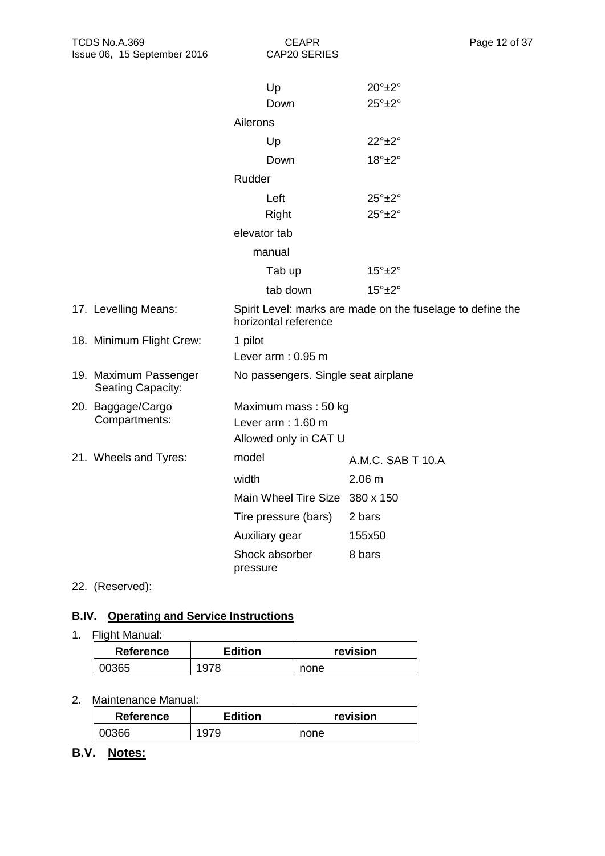|                                            |                | Up                                  | $20^{\circ}$ ±2°                                           |
|--------------------------------------------|----------------|-------------------------------------|------------------------------------------------------------|
|                                            |                | Down                                | $25^\circ \pm 2^\circ$                                     |
|                                            | Ailerons       |                                     |                                                            |
|                                            |                | Up                                  | $22^\circ \pm 2^\circ$                                     |
|                                            |                | Down                                | $18^\circ \pm 2^\circ$                                     |
|                                            | Rudder         |                                     |                                                            |
|                                            |                | Left                                | $25^\circ \pm 2^\circ$                                     |
|                                            |                | Right                               | $25^\circ \pm 2^\circ$                                     |
|                                            | elevator tab   |                                     |                                                            |
|                                            |                | manual                              |                                                            |
|                                            |                | Tab up                              | $15^\circ \pm 2^\circ$                                     |
|                                            |                | tab down                            | $15^\circ \pm 2^\circ$                                     |
| 17. Levelling Means:                       |                | horizontal reference                | Spirit Level: marks are made on the fuselage to define the |
| 18. Minimum Flight Crew:                   | 1 pilot        |                                     |                                                            |
|                                            |                | Lever $arm: 0.95 m$                 |                                                            |
| 19. Maximum Passenger<br>Seating Capacity: |                | No passengers. Single seat airplane |                                                            |
| 20. Baggage/Cargo                          |                | Maximum mass: 50 kg                 |                                                            |
| Compartments:                              |                | Lever $arm: 1.60 m$                 |                                                            |
|                                            |                | Allowed only in CAT U               |                                                            |
| 21. Wheels and Tyres:                      | model          |                                     | A.M.C. SAB T 10.A                                          |
|                                            | width          |                                     | 2.06 <sub>m</sub>                                          |
|                                            |                | Main Wheel Tire Size 380 x 150      |                                                            |
|                                            |                | Tire pressure (bars)                | 2 bars                                                     |
|                                            | Auxiliary gear |                                     | 155x50                                                     |
|                                            | pressure       | Shock absorber                      | 8 bars                                                     |

22. (Reserved):

## **B.IV. Operating and Service Instructions**

# 1. Flight Manual:

| <b>Reference</b> | <b>Edition</b> | revision |
|------------------|----------------|----------|
| 00365            | 1 Q            | none     |

#### 2. Maintenance Manual:

| <b>Reference</b> | <b>Edition</b> | revision |
|------------------|----------------|----------|
| 00366            |                | none     |

**B.V. Notes:**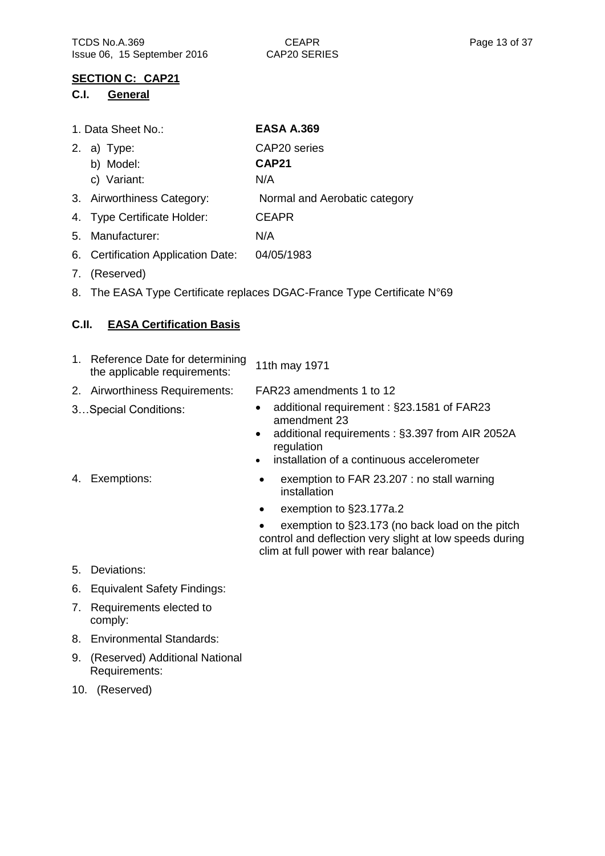### **SECTION C: CAP21**

#### **C.I. General**

| 1. Data Sheet No.:                 | <b>EASA A.369</b>             |
|------------------------------------|-------------------------------|
| 2. a) Type:                        | CAP20 series                  |
| b) Model:                          | <b>CAP21</b>                  |
| c) Variant:                        | N/A                           |
| 3. Airworthiness Category:         | Normal and Aerobatic category |
| 4. Type Certificate Holder:        | <b>CEAPR</b>                  |
| 5. Manufacturer:                   | N/A                           |
| 6. Certification Application Date: | 04/05/1983                    |

- 7. (Reserved)
- 8. The EASA Type Certificate replaces DGAC-France Type Certificate N°69

### **C.II. EASA Certification Basis**

| 1. Reference Date for determining<br>the applicable requirements: | 11th may 1971                                                                                                                 |
|-------------------------------------------------------------------|-------------------------------------------------------------------------------------------------------------------------------|
| 2. Airworthiness Requirements:                                    | FAR23 amendments 1 to 12                                                                                                      |
| 3Special Conditions:                                              | • additional requirement: §23.1581 of FAR23<br>amendment 23<br>• additional requirements: §3.397 from AIR 2052A<br>regulation |

installation of a continuous accelerometer

- 
- 4. Exemptions: • exemption to FAR 23.207 : no stall warning installation
	- exemption to §23.177a.2
	- exemption to §23.173 (no back load on the pitch control and deflection very slight at low speeds during clim at full power with rear balance)

- 5. Deviations:
- 6. Equivalent Safety Findings:
- 7. Requirements elected to comply:
- 8. Environmental Standards:
- 9. (Reserved) Additional National Requirements:
- 10. (Reserved)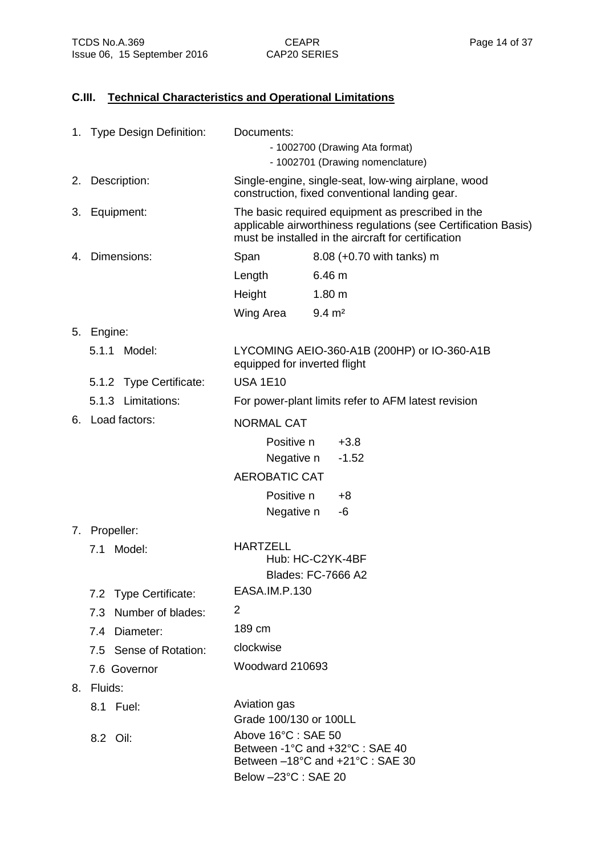# **C.III. Technical Characteristics and Operational Limitations**

|    | 1. Type Design Definition: | Documents:<br>- 1002700 (Drawing Ata format)<br>- 1002701 (Drawing nomenclature)                                                                                           |  |
|----|----------------------------|----------------------------------------------------------------------------------------------------------------------------------------------------------------------------|--|
|    | 2. Description:            | Single-engine, single-seat, low-wing airplane, wood<br>construction, fixed conventional landing gear.                                                                      |  |
| 3. | Equipment:                 | The basic required equipment as prescribed in the<br>applicable airworthiness regulations (see Certification Basis)<br>must be installed in the aircraft for certification |  |
|    | 4. Dimensions:             | Span<br>8.08 (+0.70 with tanks) m                                                                                                                                          |  |
|    |                            | 6.46 m<br>Length                                                                                                                                                           |  |
|    |                            | 1.80 <sub>m</sub><br>Height                                                                                                                                                |  |
|    |                            | Wing Area<br>$9.4 \, \text{m}^2$                                                                                                                                           |  |
|    | 5. Engine:                 |                                                                                                                                                                            |  |
|    | 5.1.1<br>Model:            | LYCOMING AEIO-360-A1B (200HP) or IO-360-A1B<br>equipped for inverted flight                                                                                                |  |
|    | 5.1.2 Type Certificate:    | <b>USA 1E10</b>                                                                                                                                                            |  |
|    | 5.1.3 Limitations:         | For power-plant limits refer to AFM latest revision                                                                                                                        |  |
|    | 6. Load factors:           | <b>NORMAL CAT</b>                                                                                                                                                          |  |
|    |                            | Positive n<br>$+3.8$                                                                                                                                                       |  |
|    |                            | Negative n<br>$-1.52$                                                                                                                                                      |  |
|    |                            | <b>AEROBATIC CAT</b>                                                                                                                                                       |  |
|    |                            | Positive n<br>$+8$                                                                                                                                                         |  |
|    |                            | Negative n<br>-6                                                                                                                                                           |  |
|    | 7. Propeller:              |                                                                                                                                                                            |  |
|    | Model:<br>7.1              | <b>HARTZELL</b><br>Hub: HC-C2YK-4BF<br><b>Blades: FC-7666 A2</b>                                                                                                           |  |
|    | 7.2 Type Certificate:      | EASA.IM.P.130                                                                                                                                                              |  |
|    | 7.3 Number of blades:      | 2                                                                                                                                                                          |  |
|    | 7.4 Diameter:              | 189 cm                                                                                                                                                                     |  |
|    | 7.5 Sense of Rotation:     | clockwise                                                                                                                                                                  |  |
|    | 7.6 Governor               | Woodward 210693                                                                                                                                                            |  |
|    | 8. Fluids:                 |                                                                                                                                                                            |  |
|    | 8.1 Fuel:                  | Aviation gas                                                                                                                                                               |  |
|    |                            | Grade 100/130 or 100LL                                                                                                                                                     |  |
|    | 8.2 Oil:                   | Above 16°C: SAE 50<br>Between -1°C and +32°C : SAE 40<br>Between -18°C and +21°C : SAE 30<br>Below -23°C: SAE 20                                                           |  |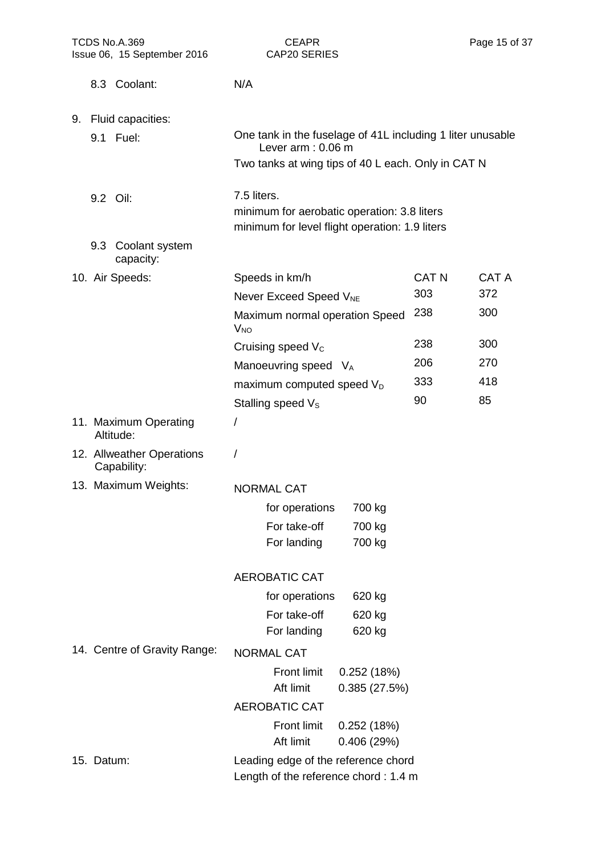| TCDS No.A.369<br>Issue 06, 15 September 2016 | <b>CEAPR</b><br>CAP20 SERIES                                                                                 |              | Page 15 of 37 |
|----------------------------------------------|--------------------------------------------------------------------------------------------------------------|--------------|---------------|
| 8.3 Coolant:                                 | N/A                                                                                                          |              |               |
| 9. Fluid capacities:                         |                                                                                                              |              |               |
| 9.1 Fuel:                                    | One tank in the fuselage of 41L including 1 liter unusable<br>Lever $arm: 0.06 m$                            |              |               |
|                                              | Two tanks at wing tips of 40 L each. Only in CAT N                                                           |              |               |
| 9.2 Oil:                                     | 7.5 liters.<br>minimum for aerobatic operation: 3.8 liters<br>minimum for level flight operation: 1.9 liters |              |               |
| 9.3 Coolant system<br>capacity:              |                                                                                                              |              |               |
| 10. Air Speeds:                              | Speeds in km/h                                                                                               | <b>CAT N</b> | <b>CAT A</b>  |
|                                              | Never Exceed Speed V <sub>NE</sub>                                                                           | 303          | 372           |
|                                              | Maximum normal operation Speed<br>$V_{NO}$                                                                   | 238          | 300           |
|                                              | Cruising speed V <sub>c</sub>                                                                                | 238          | 300           |
|                                              | Manoeuvring speed VA                                                                                         | 206          | 270           |
|                                              | maximum computed speed V <sub>D</sub>                                                                        | 333          | 418           |
|                                              | Stalling speed V <sub>s</sub>                                                                                | 90           | 85            |
| 11. Maximum Operating<br>Altitude:           | $\prime$                                                                                                     |              |               |
| 12. Allweather Operations<br>Capability:     | $\prime$                                                                                                     |              |               |
| 13. Maximum Weights:                         | <b>NORMAL CAT</b>                                                                                            |              |               |
|                                              | for operations<br>700 kg                                                                                     |              |               |
|                                              | For take-off<br>700 kg                                                                                       |              |               |
|                                              | For landing<br>700 kg                                                                                        |              |               |
|                                              | <b>AEROBATIC CAT</b>                                                                                         |              |               |
|                                              | for operations<br>620 kg                                                                                     |              |               |
|                                              | For take-off<br>620 kg                                                                                       |              |               |
|                                              | For landing<br>620 kg                                                                                        |              |               |
| 14. Centre of Gravity Range:                 | <b>NORMAL CAT</b>                                                                                            |              |               |
|                                              | <b>Front limit</b><br>0.252(18%)<br>Aft limit<br>0.385(27.5%)                                                |              |               |
|                                              | <b>AEROBATIC CAT</b>                                                                                         |              |               |
|                                              | <b>Front limit</b><br>0.252(18%)<br>Aft limit<br>0.406(29%)                                                  |              |               |
| 15. Datum:                                   | Leading edge of the reference chord<br>Length of the reference chord: 1.4 m                                  |              |               |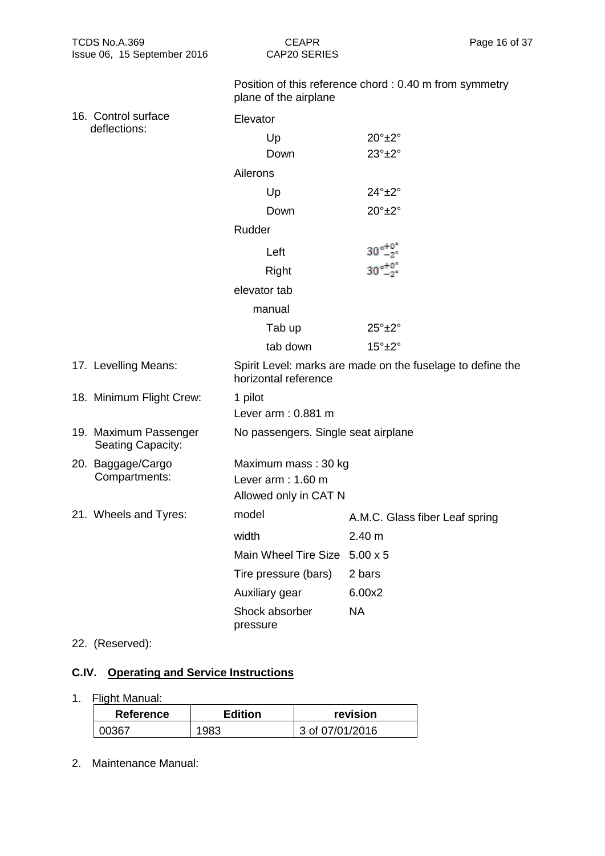| TCDS No.A.369<br>Issue 06, 15 September 2016 | <b>CEAPR</b><br>Page 16 of 37<br>CAP20 SERIES                                      |                                                        |  |
|----------------------------------------------|------------------------------------------------------------------------------------|--------------------------------------------------------|--|
|                                              | plane of the airplane                                                              | Position of this reference chord: 0.40 m from symmetry |  |
| 16. Control surface                          | Elevator                                                                           |                                                        |  |
| deflections:                                 | Up                                                                                 | $20^\circ \pm 2^\circ$                                 |  |
|                                              | Down                                                                               | $23^\circ \pm 2^\circ$                                 |  |
|                                              | Ailerons                                                                           |                                                        |  |
|                                              | Up                                                                                 | $24^\circ \pm 2^\circ$                                 |  |
|                                              | Down                                                                               | $20^\circ \pm 2^\circ$                                 |  |
|                                              | Rudder                                                                             |                                                        |  |
|                                              | Left                                                                               | $30^{\circ +0.5}_{-2^{\circ}}$                         |  |
|                                              | Right                                                                              | $30^{\circ +0.5}_{-2}$                                 |  |
|                                              | elevator tab                                                                       |                                                        |  |
|                                              | manual                                                                             |                                                        |  |
|                                              | Tab up                                                                             | $25^\circ \pm 2^\circ$                                 |  |
|                                              | tab down                                                                           | $15^\circ \pm 2^\circ$                                 |  |
| 17. Levelling Means:                         | Spirit Level: marks are made on the fuselage to define the<br>horizontal reference |                                                        |  |
| 18. Minimum Flight Crew:                     | 1 pilot                                                                            |                                                        |  |
|                                              | Lever arm: 0.881 m                                                                 |                                                        |  |
| 19. Maximum Passenger<br>Seating Capacity:   | No passengers. Single seat airplane                                                |                                                        |  |
| 20. Baggage/Cargo                            | Maximum mass: 30 kg                                                                |                                                        |  |
| Compartments:                                | Lever arm: 1.60 m                                                                  |                                                        |  |
|                                              | Allowed only in CAT N                                                              |                                                        |  |
| 21. Wheels and Tyres:                        | model                                                                              | A.M.C. Glass fiber Leaf spring                         |  |
|                                              | width                                                                              | 2.40 m                                                 |  |
|                                              | <b>Main Wheel Tire Size</b>                                                        | $5.00 \times 5$                                        |  |
|                                              | Tire pressure (bars)                                                               | 2 bars                                                 |  |
|                                              | Auxiliary gear                                                                     | 6.00x2                                                 |  |
|                                              | Shock absorber<br>pressure                                                         | <b>NA</b>                                              |  |
|                                              |                                                                                    |                                                        |  |

## 22. (Reserved):

# **C.IV. Operating and Service Instructions**

# 1. Flight Manual:

| <b>Reference</b> | revision<br><b>Edition</b> |                 |
|------------------|----------------------------|-----------------|
| กกวล7            | 1983.                      | 3 of 07/01/2016 |

2. Maintenance Manual: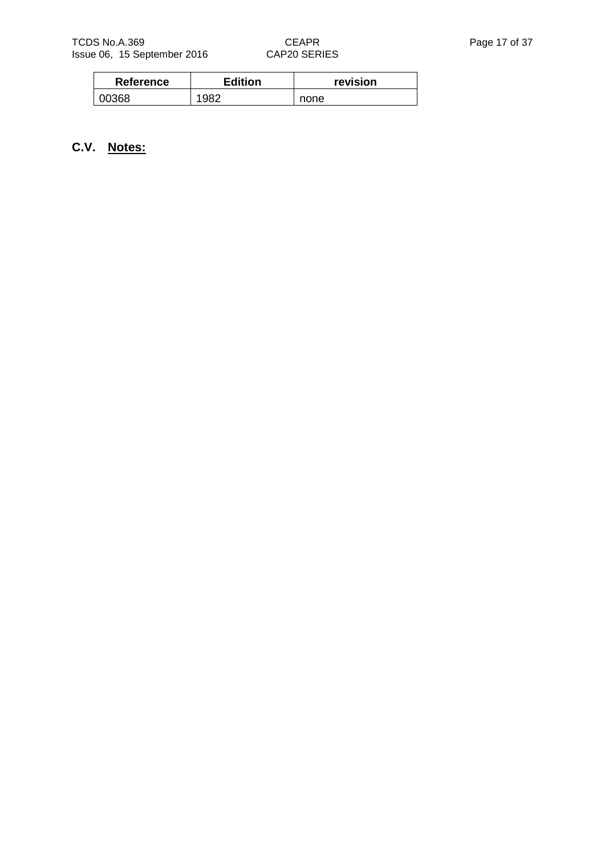| <b>Reference</b> | <b>Edition</b> | revision |
|------------------|----------------|----------|
| 00368            | 1982           | none     |

# **C.V. Notes:**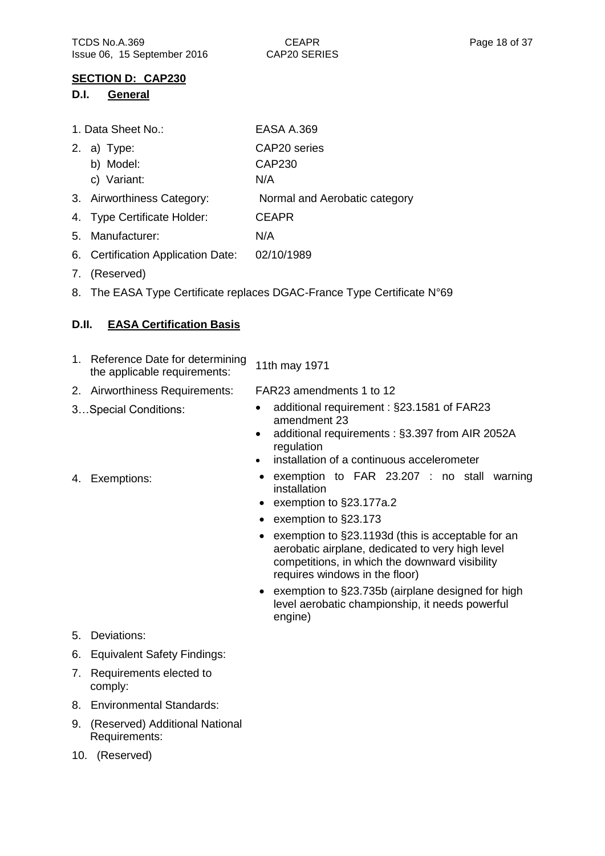### **SECTION D: CAP230**

#### **D.I. General**

| 1. Data Sheet No.:                 | <b>EASA A.369</b>             |
|------------------------------------|-------------------------------|
| 2. a) Type:                        | CAP20 series                  |
| b) Model:                          | <b>CAP230</b>                 |
| c) Variant:                        | N/A                           |
| 3. Airworthiness Category:         | Normal and Aerobatic category |
| 4. Type Certificate Holder:        | <b>CEAPR</b>                  |
| 5. Manufacturer:                   | N/A                           |
| 6. Certification Application Date: | 02/10/1989                    |

- 7. (Reserved)
- 8. The EASA Type Certificate replaces DGAC-France Type Certificate N°69

### **D.II. EASA Certification Basis**

| 1. Reference Date for determining<br>the applicable requirements: | 11th may 1971                             |
|-------------------------------------------------------------------|-------------------------------------------|
| 2. Airworthiness Requirements:                                    | FAR23 amendments 1 to 12                  |
| 3Special Conditions:                                              | additional requirement: §23.1581 of FAR23 |

- amendment 23 • additional requirements : §3.397 from AIR 2052A
- regulation • installation of a continuous accelerometer

- 
- 4. Exemptions: exemption to FAR 23.207 : no stall warning
	- installation ● exemption to §23.177a.2
	- exemption to §23.173
	- exemption to §23.1193d (this is acceptable for an aerobatic airplane, dedicated to very high level competitions, in which the downward visibility requires windows in the floor)
	- exemption to §23.735b (airplane designed for high level aerobatic championship, it needs powerful engine)

- 5. Deviations:
- 6. Equivalent Safety Findings:
- 7. Requirements elected to comply:
- 8. Environmental Standards:
- 9. (Reserved) Additional National Requirements:
- 10. (Reserved)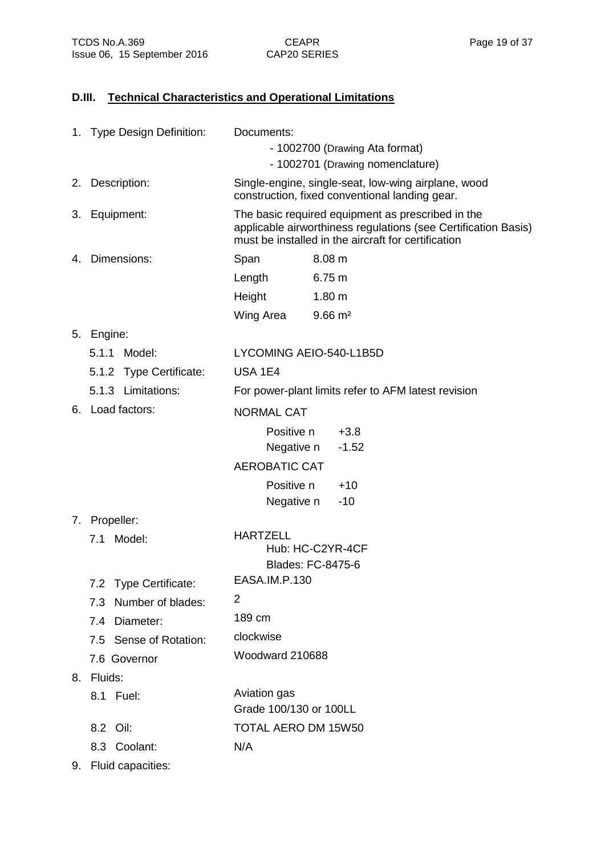## **D.III. Technical Characteristics and Operational Limitations**

|    | 1. Type Design Definition: | Documents:<br>- 1002700 (Drawing Ata format)<br>- 1002701 (Drawing nomenclature)                                                                                           |  |
|----|----------------------------|----------------------------------------------------------------------------------------------------------------------------------------------------------------------------|--|
|    | 2. Description:            | Single-engine, single-seat, low-wing airplane, wood<br>construction, fixed conventional landing gear.                                                                      |  |
|    | 3. Equipment:              | The basic required equipment as prescribed in the<br>applicable airworthiness regulations (see Certification Basis)<br>must be installed in the aircraft for certification |  |
| 4. | Dimensions:                | Span<br>8.08 m                                                                                                                                                             |  |
|    |                            | Length<br>6.75 m                                                                                                                                                           |  |
|    |                            | 1.80 <sub>m</sub><br>Height                                                                                                                                                |  |
|    |                            | Wing Area<br>$9.66 \text{ m}^2$                                                                                                                                            |  |
|    | 5. Engine:                 |                                                                                                                                                                            |  |
|    | Model:<br>5.1.1            | LYCOMING AEIO-540-L1B5D                                                                                                                                                    |  |
|    | 5.1.2 Type Certificate:    | <b>USA 1E4</b>                                                                                                                                                             |  |
|    | 5.1.3 Limitations:         | For power-plant limits refer to AFM latest revision                                                                                                                        |  |
|    | 6. Load factors:           | <b>NORMAL CAT</b>                                                                                                                                                          |  |
|    |                            | Positive n<br>$+3.8$                                                                                                                                                       |  |
|    |                            | Negative n<br>$-1.52$                                                                                                                                                      |  |
|    |                            | <b>AEROBATIC CAT</b>                                                                                                                                                       |  |
|    |                            | Positive n<br>$+10$                                                                                                                                                        |  |
|    |                            | Negative n<br>$-10$                                                                                                                                                        |  |
|    | 7. Propeller:              |                                                                                                                                                                            |  |
|    | 7.1 Model:                 | <b>HARTZELL</b><br>Hub: HC-C2YR-4CF                                                                                                                                        |  |
|    |                            | Blades: FC-8475-6                                                                                                                                                          |  |
|    | 7.2 Type Certificate:      | EASA.IM.P.130                                                                                                                                                              |  |
|    | 7.3 Number of blades:      | 2                                                                                                                                                                          |  |
|    | 7.4 Diameter:              | 189 cm                                                                                                                                                                     |  |
|    | 7.5 Sense of Rotation:     | clockwise                                                                                                                                                                  |  |
|    | 7.6 Governor               | Woodward 210688                                                                                                                                                            |  |
|    | 8. Fluids:                 |                                                                                                                                                                            |  |
|    | 8.1 Fuel:                  | Aviation gas                                                                                                                                                               |  |
|    |                            | Grade 100/130 or 100LL                                                                                                                                                     |  |
|    | 8.2 Oil:                   | TOTAL AERO DM 15W50                                                                                                                                                        |  |
|    | 8.3 Coolant:               | N/A                                                                                                                                                                        |  |

9. Fluid capacities: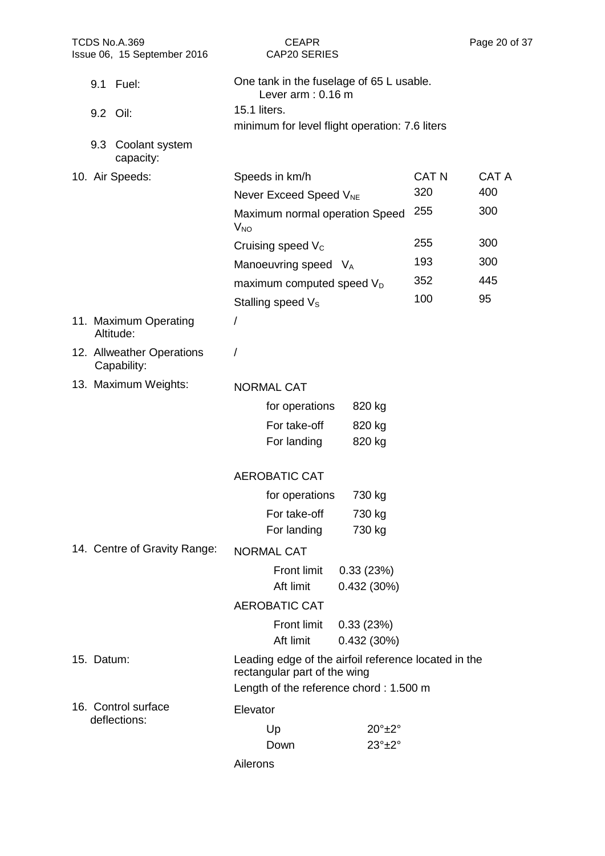| TCDS No.A.369<br>Issue 06, 15 September 2016 | <b>CEAPR</b><br>CAP20 SERIES                                                                                                   | Page 20 of 37                |  |  |
|----------------------------------------------|--------------------------------------------------------------------------------------------------------------------------------|------------------------------|--|--|
| 9.1 Fuel:                                    | One tank in the fuselage of 65 L usable.<br>Lever $arm: 0.16 m$                                                                |                              |  |  |
| 9.2 Oil:                                     | 15.1 liters.                                                                                                                   |                              |  |  |
|                                              | minimum for level flight operation: 7.6 liters                                                                                 |                              |  |  |
| 9.3 Coolant system<br>capacity:              |                                                                                                                                |                              |  |  |
| 10. Air Speeds:                              | Speeds in km/h                                                                                                                 | <b>CAT N</b><br><b>CAT A</b> |  |  |
|                                              | Never Exceed Speed V <sub>NE</sub>                                                                                             | 320<br>400                   |  |  |
|                                              | Maximum normal operation Speed<br><b>V<sub>NO</sub></b>                                                                        | 255<br>300                   |  |  |
|                                              | Cruising speed V <sub>c</sub>                                                                                                  | 255<br>300                   |  |  |
|                                              | Manoeuvring speed VA                                                                                                           | 300<br>193                   |  |  |
|                                              | maximum computed speed V <sub>D</sub>                                                                                          | 352<br>445                   |  |  |
|                                              | Stalling speed V <sub>s</sub>                                                                                                  | 100<br>95                    |  |  |
| 11. Maximum Operating<br>Altitude:           | /                                                                                                                              |                              |  |  |
| 12. Allweather Operations<br>Capability:     | /                                                                                                                              |                              |  |  |
| 13. Maximum Weights:                         | <b>NORMAL CAT</b>                                                                                                              |                              |  |  |
|                                              | for operations<br>820 kg                                                                                                       |                              |  |  |
|                                              | For take-off<br>820 kg                                                                                                         |                              |  |  |
|                                              | For landing<br>820 kg                                                                                                          |                              |  |  |
|                                              | <b>AEROBATIC CAT</b>                                                                                                           |                              |  |  |
|                                              | for operations<br>730 kg                                                                                                       |                              |  |  |
|                                              | For take-off<br>730 kg                                                                                                         |                              |  |  |
|                                              | For landing<br>730 kg                                                                                                          |                              |  |  |
| 14. Centre of Gravity Range:                 | <b>NORMAL CAT</b>                                                                                                              |                              |  |  |
|                                              | <b>Front limit</b><br>0.33(23%)<br>Aft limit<br>0.432(30%)                                                                     |                              |  |  |
|                                              | <b>AEROBATIC CAT</b>                                                                                                           |                              |  |  |
|                                              | <b>Front limit</b><br>0.33(23%)                                                                                                |                              |  |  |
|                                              | Aft limit<br>0.432(30%)                                                                                                        |                              |  |  |
| 15. Datum:                                   | Leading edge of the airfoil reference located in the<br>rectangular part of the wing<br>Length of the reference chord: 1.500 m |                              |  |  |
| 16. Control surface                          | Elevator                                                                                                                       |                              |  |  |
| deflections:                                 | $20^\circ \pm 2^\circ$                                                                                                         |                              |  |  |
|                                              | Up<br>$23^\circ \pm 2^\circ$<br>Down                                                                                           |                              |  |  |
|                                              | Ailerons                                                                                                                       |                              |  |  |
|                                              |                                                                                                                                |                              |  |  |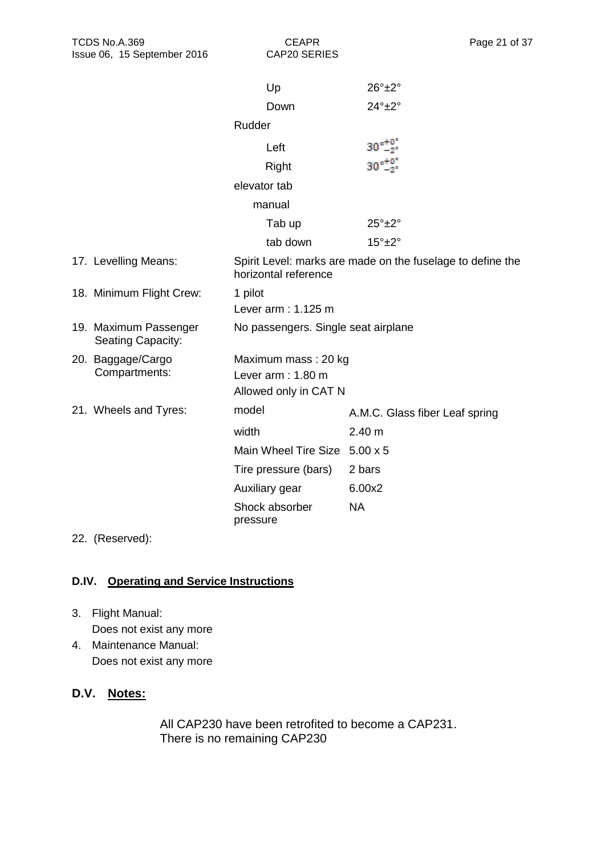CAP20 SERIES

|                                            | Up                                  | $26^\circ \pm 2^\circ$                                     |
|--------------------------------------------|-------------------------------------|------------------------------------------------------------|
|                                            | Down                                | $24^\circ \pm 2^\circ$                                     |
|                                            | Rudder                              |                                                            |
|                                            | Left                                | $30^{\circ +0.0}_{-2}$                                     |
|                                            | Right                               | $30_{-2}^{+0^{\circ}}$                                     |
|                                            | elevator tab                        |                                                            |
|                                            | manual                              |                                                            |
|                                            | Tab up                              | $25^\circ \pm 2^\circ$                                     |
|                                            | tab down                            | $15^\circ \pm 2^\circ$                                     |
| 17. Levelling Means:                       | horizontal reference                | Spirit Level: marks are made on the fuselage to define the |
| 18. Minimum Flight Crew:                   | 1 pilot                             |                                                            |
|                                            | Lever arm: 1.125 m                  |                                                            |
| 19. Maximum Passenger<br>Seating Capacity: | No passengers. Single seat airplane |                                                            |
| 20. Baggage/Cargo                          | Maximum mass: 20 kg                 |                                                            |
| Compartments:                              | Lever arm: 1.80 m                   |                                                            |
|                                            | Allowed only in CAT N               |                                                            |
| 21. Wheels and Tyres:                      | model                               | A.M.C. Glass fiber Leaf spring                             |
|                                            | width                               | 2.40 m                                                     |
|                                            | Main Wheel Tire Size 5.00 x 5       |                                                            |
|                                            | Tire pressure (bars)                | 2 bars                                                     |
|                                            | Auxiliary gear                      | 6.00x2                                                     |
|                                            | Shock absorber<br>pressure          | <b>NA</b>                                                  |

22. (Reserved):

## **D.IV. Operating and Service Instructions**

- 3. Flight Manual: Does not exist any more
- 4. Maintenance Manual: Does not exist any more

# **D.V. Notes:**

All CAP230 have been retrofited to become a CAP231. There is no remaining CAP230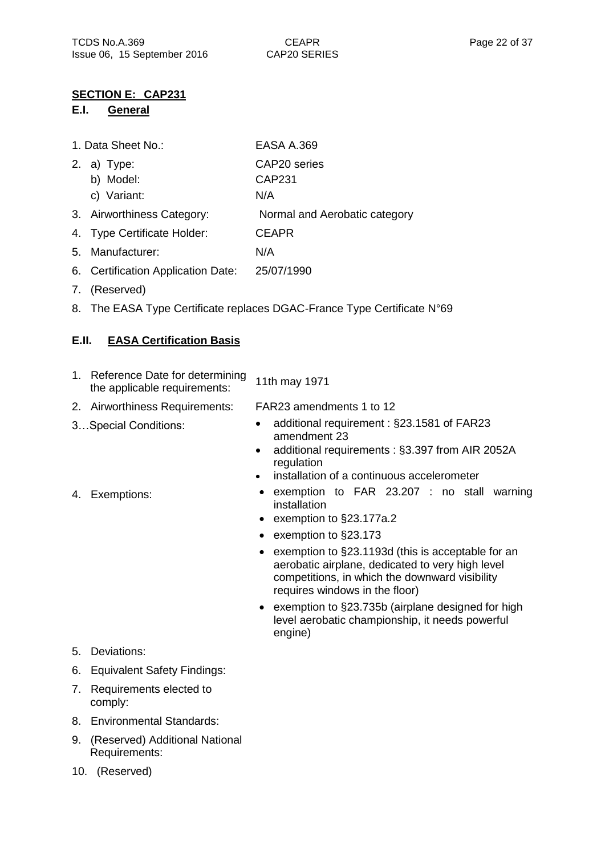### **SECTION E: CAP231**

### **E.I. General**

| 1. Data Sheet No.: | <b>EASA A.369</b> |
|--------------------|-------------------|
|--------------------|-------------------|

- 2. a) Type: b) Model: c) Variant: CAP20 series CAP231 N/A 3. Airworthiness Category: Normal and Aerobatic category 4. Type Certificate Holder: CEAPR
- 5. Manufacturer: N/A
- 6. Certification Application Date: 25/07/1990
- 7. (Reserved)
- 8. The EASA Type Certificate replaces DGAC-France Type Certificate N°69

### **E.II. EASA Certification Basis**

| 1. Reference Date for determining<br>the applicable requirements: | 11th may 1971            |
|-------------------------------------------------------------------|--------------------------|
| 2. Airworthiness Requirements:                                    | FAR23 amendments 1 to 12 |
|                                                                   |                          |

- 
- 3...Special Conditions: additional requirement : §23.1581 of FAR23 amendment 23
	- additional requirements : §3.397 from AIR 2052A regulation
	- installation of a continuous accelerometer
- 4. Exemptions: exemption to FAR 23.207 : no stall warning installation
	- exemption to §23.177a.2
	- exemption to §23.173
	- exemption to §23.1193d (this is acceptable for an aerobatic airplane, dedicated to very high level competitions, in which the downward visibility requires windows in the floor)
	- exemption to §23.735b (airplane designed for high level aerobatic championship, it needs powerful engine)

- 5. Deviations:
- 6. Equivalent Safety Findings:
- 7. Requirements elected to comply:
- 8. Environmental Standards:
- 9. (Reserved) Additional National Requirements:
- 10. (Reserved)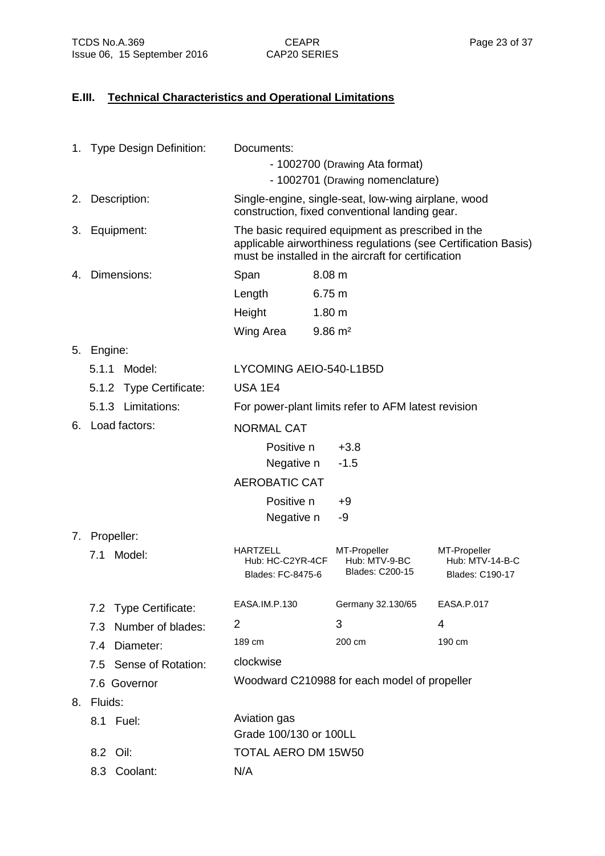# **E.III. Technical Characteristics and Operational Limitations**

|    | 1. Type Design Definition: | Documents:                                                                                            |                                                                                                                                                                            |                                                    |
|----|----------------------------|-------------------------------------------------------------------------------------------------------|----------------------------------------------------------------------------------------------------------------------------------------------------------------------------|----------------------------------------------------|
|    |                            | - 1002700 (Drawing Ata format)                                                                        |                                                                                                                                                                            |                                                    |
|    |                            |                                                                                                       | - 1002701 (Drawing nomenclature)                                                                                                                                           |                                                    |
|    | 2. Description:            | Single-engine, single-seat, low-wing airplane, wood<br>construction, fixed conventional landing gear. |                                                                                                                                                                            |                                                    |
|    | 3. Equipment:              |                                                                                                       | The basic required equipment as prescribed in the<br>applicable airworthiness regulations (see Certification Basis)<br>must be installed in the aircraft for certification |                                                    |
| 4. | Dimensions:                | Span                                                                                                  | 8.08 m                                                                                                                                                                     |                                                    |
|    |                            | Length                                                                                                | 6.75 m                                                                                                                                                                     |                                                    |
|    |                            | Height                                                                                                | 1.80 <sub>m</sub>                                                                                                                                                          |                                                    |
|    |                            | Wing Area                                                                                             | $9.86 \text{ m}^2$                                                                                                                                                         |                                                    |
|    | 5. Engine:                 |                                                                                                       |                                                                                                                                                                            |                                                    |
|    | 5.1.1 Model:               | LYCOMING AEIO-540-L1B5D                                                                               |                                                                                                                                                                            |                                                    |
|    | 5.1.2 Type Certificate:    | <b>USA 1E4</b>                                                                                        |                                                                                                                                                                            |                                                    |
|    | 5.1.3 Limitations:         |                                                                                                       | For power-plant limits refer to AFM latest revision                                                                                                                        |                                                    |
|    | 6. Load factors:           | <b>NORMAL CAT</b>                                                                                     |                                                                                                                                                                            |                                                    |
|    |                            | Positive n                                                                                            | $+3.8$                                                                                                                                                                     |                                                    |
|    |                            | Negative n                                                                                            | $-1.5$                                                                                                                                                                     |                                                    |
|    |                            | <b>AEROBATIC CAT</b>                                                                                  |                                                                                                                                                                            |                                                    |
|    |                            | Positive n                                                                                            | +9                                                                                                                                                                         |                                                    |
|    |                            | Negative n                                                                                            | -9                                                                                                                                                                         |                                                    |
|    | 7. Propeller:              |                                                                                                       |                                                                                                                                                                            |                                                    |
|    | Model:<br>7.1              | <b>HARTZELL</b><br>Hub: HC-C2YR-4CF<br>Blades: FC-8475-6                                              | MT-Propeller<br>Hub: MTV-9-BC<br><b>Blades: C200-15</b>                                                                                                                    | MT-Propeller<br>Hub: MTV-14-B-C<br>Blades: C190-17 |
|    | 7.2 Type Certificate:      | EASA.IM.P.130                                                                                         | Germany 32.130/65                                                                                                                                                          | EASA.P.017                                         |
|    | 7.3 Number of blades:      | 2                                                                                                     | 3                                                                                                                                                                          | 4                                                  |
|    | 7.4 Diameter:              | 189 cm                                                                                                | 200 cm                                                                                                                                                                     | 190 cm                                             |
|    | 7.5 Sense of Rotation:     | clockwise                                                                                             |                                                                                                                                                                            |                                                    |
|    | 7.6 Governor               |                                                                                                       | Woodward C210988 for each model of propeller                                                                                                                               |                                                    |
| 8. | Fluids:                    |                                                                                                       |                                                                                                                                                                            |                                                    |
|    | 8.1 Fuel:                  | Aviation gas<br>Grade 100/130 or 100LL                                                                |                                                                                                                                                                            |                                                    |
|    | 8.2 Oil:                   | TOTAL AERO DM 15W50                                                                                   |                                                                                                                                                                            |                                                    |
|    | 8.3 Coolant:               | N/A                                                                                                   |                                                                                                                                                                            |                                                    |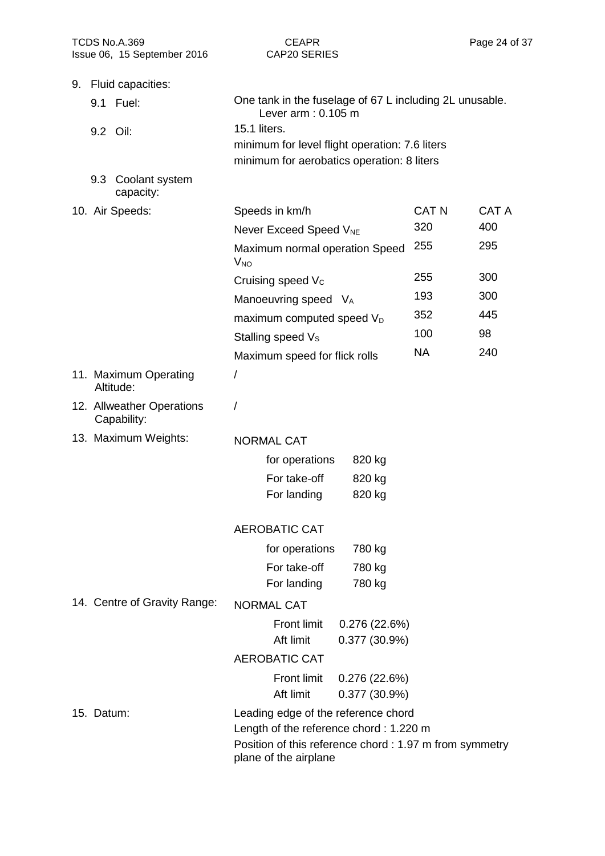| TCDS No.A.369<br>Issue 06, 15 September 2016 | <b>CEAPR</b><br><b>CAP20 SERIES</b>                                                              | Page 24 o             |
|----------------------------------------------|--------------------------------------------------------------------------------------------------|-----------------------|
| 9. Fluid capacities:                         |                                                                                                  |                       |
| 9.1 Fuel:                                    | One tank in the fuselage of 67 L including 2L unusable.<br>Lever $arm: 0.105 m$                  |                       |
| 9.2 Oil:                                     | <b>15.1 liters.</b>                                                                              |                       |
|                                              | minimum for level flight operation: 7.6 liters                                                   |                       |
|                                              | minimum for aerobatics operation: 8 liters                                                       |                       |
| 9.3 Coolant system<br>capacity:              |                                                                                                  |                       |
| 10. Air Speeds:                              | Speeds in km/h                                                                                   | <b>CAT N</b><br>CAT A |
|                                              | Never Exceed Speed V <sub>NE</sub>                                                               | 320<br>400            |
|                                              | Maximum normal operation Speed<br><b>V<sub>NO</sub></b>                                          | 255<br>295            |
|                                              | Cruising speed $V_c$                                                                             | 255<br>300            |
|                                              | Manoeuvring speed VA                                                                             | 193<br>300            |
|                                              | maximum computed speed V <sub>D</sub>                                                            | 352<br>445            |
|                                              | Stalling speed V <sub>s</sub>                                                                    | 100<br>98             |
|                                              | Maximum speed for flick rolls                                                                    | <b>NA</b><br>240      |
| 11. Maximum Operating<br>Altitude:           | T                                                                                                |                       |
| 12. Allweather Operations<br>Capability:     |                                                                                                  |                       |
| 13. Maximum Weights:                         | <b>NORMAL CAT</b>                                                                                |                       |
|                                              | for operations<br>820 kg                                                                         |                       |
|                                              | For take-off<br>820 kg                                                                           |                       |
|                                              | For landing<br>820 kg                                                                            |                       |
|                                              | <b>AEROBATIC CAT</b>                                                                             |                       |
|                                              | for operations<br>780 kg                                                                         |                       |
|                                              | For take-off<br>780 kg                                                                           |                       |
|                                              | For landing<br>780 kg                                                                            |                       |
| 14. Centre of Gravity Range:                 | <b>NORMAL CAT</b>                                                                                |                       |
|                                              | <b>Front limit</b><br>0.276(22.6%)                                                               |                       |
|                                              | Aft limit<br>0.377(30.9%)                                                                        |                       |
|                                              | <b>AEROBATIC CAT</b>                                                                             |                       |
|                                              | Front limit<br>0.276(22.6%)                                                                      |                       |
|                                              | Aft limit<br>0.377(30.9%)                                                                        |                       |
| 15. Datum:                                   | Leading edge of the reference chord                                                              |                       |
|                                              | Length of the reference chord: 1.220 m<br>Position of this reference chord: 1.97 m from symmetry |                       |
|                                              | plane of the airplane                                                                            |                       |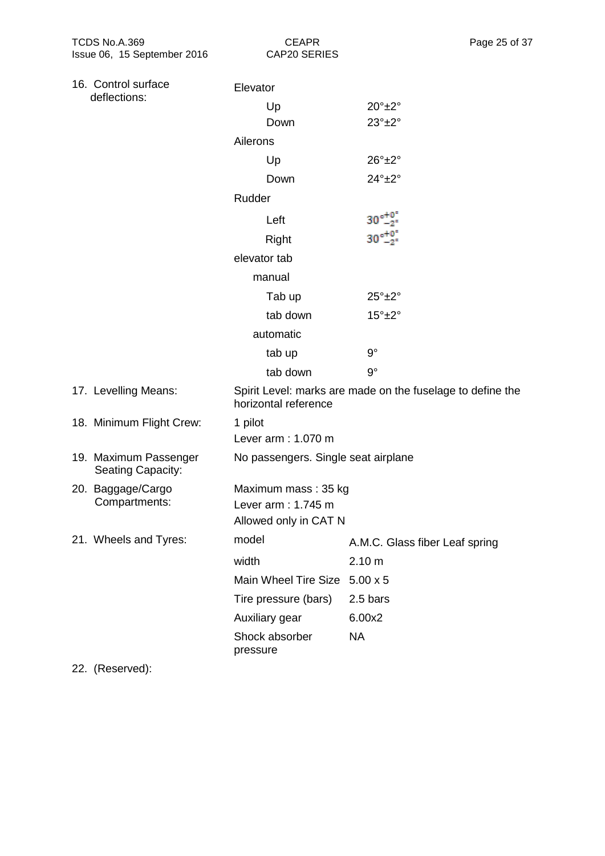CAP20 SERIES

|              | 16. Control surface                               | Elevator           |                                     |                                                            |
|--------------|---------------------------------------------------|--------------------|-------------------------------------|------------------------------------------------------------|
| deflections: |                                                   |                    | Up                                  | $20^\circ \pm 2^\circ$                                     |
|              |                                                   |                    | Down                                | $23^\circ \pm 2^\circ$                                     |
|              |                                                   | Ailerons           |                                     |                                                            |
|              |                                                   |                    | Up                                  | $26^\circ \pm 2^\circ$                                     |
|              |                                                   |                    | Down                                | $24^\circ \pm 2^\circ$                                     |
|              |                                                   | Rudder             |                                     |                                                            |
|              |                                                   |                    | Left                                | $30^{\circ +0.5}_{-2}$                                     |
|              |                                                   |                    | Right                               | $30\frac{+0}{-2}$                                          |
|              |                                                   |                    | elevator tab                        |                                                            |
|              |                                                   |                    | manual                              |                                                            |
|              |                                                   |                    | Tab up                              | $25^\circ \pm 2^\circ$                                     |
|              |                                                   |                    | tab down                            | $15^\circ \pm 2^\circ$                                     |
|              |                                                   |                    | automatic                           |                                                            |
|              |                                                   |                    | tab up                              | $9^{\circ}$                                                |
|              |                                                   |                    | tab down                            | $9^{\circ}$                                                |
|              | 17. Levelling Means:                              |                    | horizontal reference                | Spirit Level: marks are made on the fuselage to define the |
|              | 18. Minimum Flight Crew:                          | 1 pilot            |                                     |                                                            |
|              |                                                   |                    | Lever arm: 1.070 m                  |                                                            |
|              | 19. Maximum Passenger<br><b>Seating Capacity:</b> |                    | No passengers. Single seat airplane |                                                            |
|              | 20. Baggage/Cargo                                 |                    | Maximum mass: 35 kg                 |                                                            |
|              | Compartments:                                     | Lever arm: 1.745 m |                                     |                                                            |
|              |                                                   |                    | Allowed only in CAT N               |                                                            |
|              | 21. Wheels and Tyres:                             | model              |                                     | A.M.C. Glass fiber Leaf spring                             |
|              |                                                   | width              |                                     | 2.10 m                                                     |
|              |                                                   |                    | Main Wheel Tire Size                | $5.00 \times 5$                                            |
|              |                                                   |                    | Tire pressure (bars)                | 2.5 bars                                                   |
|              |                                                   |                    | Auxiliary gear                      | 6.00x2                                                     |
|              |                                                   | pressure           | Shock absorber                      | <b>NA</b>                                                  |
|              |                                                   |                    |                                     |                                                            |

22. (Reserved):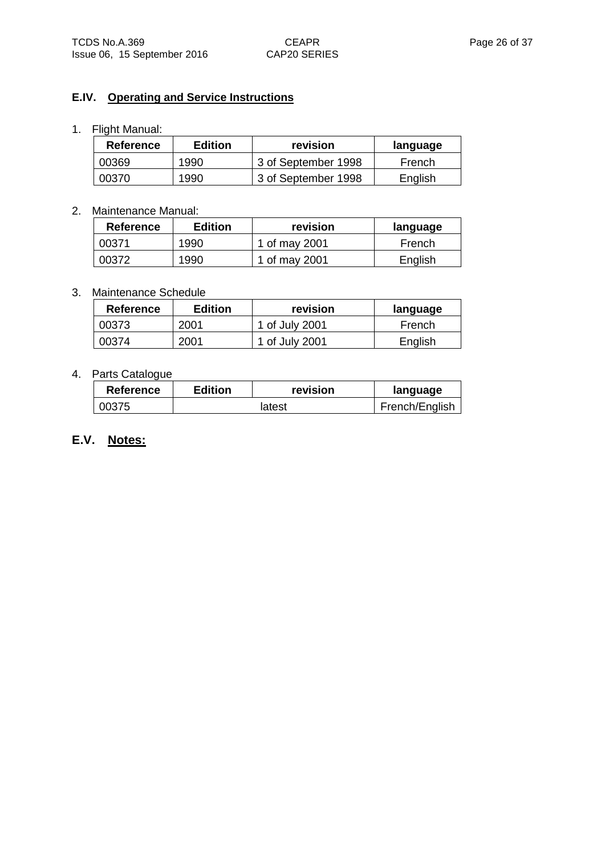#### **E.IV. Operating and Service Instructions**

#### 1. Flight Manual:

| <b>Reference</b> | <b>Edition</b> | revision            | language |
|------------------|----------------|---------------------|----------|
| 00369            | 1990           | 3 of September 1998 | French   |
| 00370            | 1990           | 3 of September 1998 | English  |

#### 2. Maintenance Manual:

| <b>Reference</b> | <b>Edition</b> | revision      | language |
|------------------|----------------|---------------|----------|
| 00371            | 1990           | 1 of may 2001 | French   |
| 00372            | 1990           | 1 of may 2001 | English  |

#### 3. Maintenance Schedule

| Reference | Edition | revision       | language |
|-----------|---------|----------------|----------|
| 00373     | 2001    | 1 of July 2001 | French   |
| ባበ374     | 2001    | 1 of July 2001 | English  |

#### 4. Parts Catalogue

| Reference | <b>Edition</b> | revision | language       |
|-----------|----------------|----------|----------------|
| 00375     |                | latest   | French/English |

# **E.V. Notes:**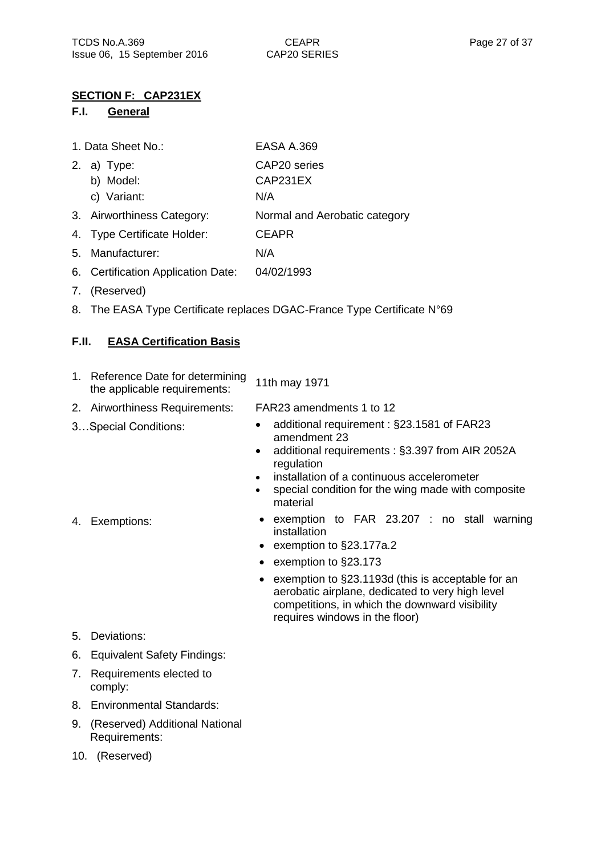## **SECTION F: CAP231EX**

### **F.I. General**

| 1. Data Sheet No.: | <b>EASA A.369</b> |
|--------------------|-------------------|
|                    |                   |

- 2. a) Type: CAP20 series
	- b) Model: CAP231EX
	- c) Variant: N/A
- 3. Airworthiness Category: Normal and Aerobatic category
- 4. Type Certificate Holder: CEAPR
- 5. Manufacturer: N/A
- 6. Certification Application Date: 04/02/1993
- 7. (Reserved)
- 8. The EASA Type Certificate replaces DGAC-France Type Certificate N°69

# **F.II. EASA Certification Basis**

- 1. Reference Date for determining Reference Date for determining 11th may 1971<br>the applicable requirements:
- 2. Airworthiness Requirements: FAR23 amendments 1 to 12
- 
- 3…Special Conditions: additional requirement : §23.1581 of FAR23 amendment 23
	- additional requirements : §3.397 from AIR 2052A regulation
	- installation of a continuous accelerometer
	- special condition for the wing made with composite material
- 4. Exemptions: **•** exemption to FAR 23.207 : no stall warning installation
	- exemption to §23.177a.2
	- exemption to §23.173
	- exemption to §23.1193d (this is acceptable for an aerobatic airplane, dedicated to very high level competitions, in which the downward visibility requires windows in the floor)

- 5. Deviations:
- 6. Equivalent Safety Findings:
- 7. Requirements elected to comply:
- 8. Environmental Standards:
- 9. (Reserved) Additional National Requirements:
- 10. (Reserved)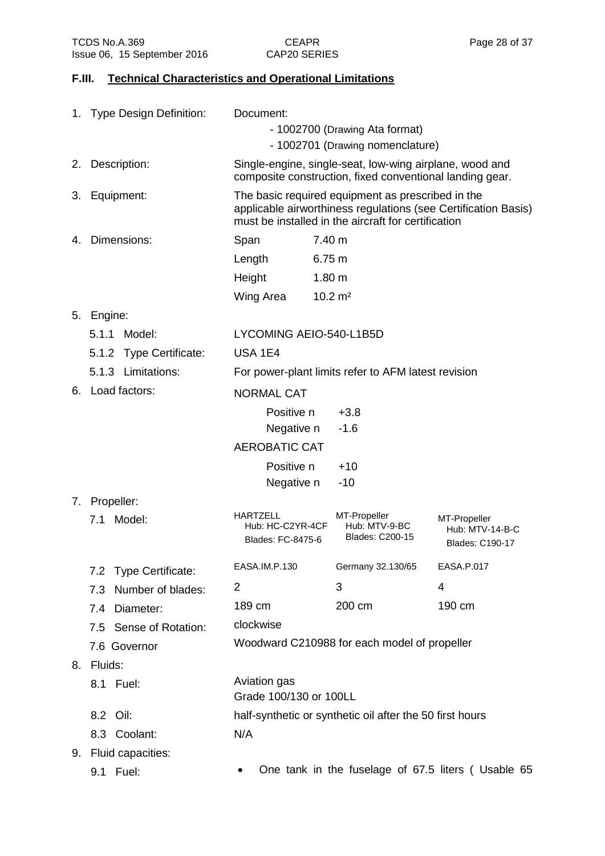#### **F.III. Technical Characteristics and Operational Limitations**

|    | 1. Type Design Definition:      | Document:                                         |                                                                                                                                                                            |                                                    |  |  |
|----|---------------------------------|---------------------------------------------------|----------------------------------------------------------------------------------------------------------------------------------------------------------------------------|----------------------------------------------------|--|--|
|    |                                 | - 1002700 (Drawing Ata format)                    |                                                                                                                                                                            |                                                    |  |  |
|    |                                 | - 1002701 (Drawing nomenclature)                  |                                                                                                                                                                            |                                                    |  |  |
|    | 2. Description:                 |                                                   | Single-engine, single-seat, low-wing airplane, wood and<br>composite construction, fixed conventional landing gear.                                                        |                                                    |  |  |
|    | 3. Equipment:                   |                                                   | The basic required equipment as prescribed in the<br>applicable airworthiness regulations (see Certification Basis)<br>must be installed in the aircraft for certification |                                                    |  |  |
| 4. | Dimensions:                     | Span                                              | 7.40 m                                                                                                                                                                     |                                                    |  |  |
|    |                                 | Length                                            | 6.75 m                                                                                                                                                                     |                                                    |  |  |
|    |                                 | Height                                            | 1.80 <sub>m</sub>                                                                                                                                                          |                                                    |  |  |
|    |                                 | Wing Area                                         | $10.2 \text{ m}^2$                                                                                                                                                         |                                                    |  |  |
| 5. | Engine:                         |                                                   |                                                                                                                                                                            |                                                    |  |  |
|    | 5.1.1<br>Model:                 | LYCOMING AEIO-540-L1B5D                           |                                                                                                                                                                            |                                                    |  |  |
|    | 5.1.2 Type Certificate:         | <b>USA 1E4</b>                                    |                                                                                                                                                                            |                                                    |  |  |
|    | 5.1.3 Limitations:              |                                                   | For power-plant limits refer to AFM latest revision                                                                                                                        |                                                    |  |  |
|    | 6. Load factors:                | <b>NORMAL CAT</b>                                 |                                                                                                                                                                            |                                                    |  |  |
|    |                                 | Positive n                                        | $+3.8$                                                                                                                                                                     |                                                    |  |  |
|    |                                 | Negative n                                        | $-1.6$                                                                                                                                                                     |                                                    |  |  |
|    |                                 | <b>AEROBATIC CAT</b>                              |                                                                                                                                                                            |                                                    |  |  |
|    |                                 | Positive n                                        | $+10$                                                                                                                                                                      |                                                    |  |  |
|    |                                 | Negative n                                        | $-10$                                                                                                                                                                      |                                                    |  |  |
|    | 7. Propeller:                   |                                                   |                                                                                                                                                                            |                                                    |  |  |
|    | Model:<br>7.1                   | HARTZELL<br>Hub: HC-C2YR-4CF<br>Blades: FC-8475-6 | MT-Propeller<br>Hub: MTV-9-BC<br><b>Blades: C200-15</b>                                                                                                                    | MT-Propeller<br>Hub: MTV-14-B-C<br>Blades: C190-17 |  |  |
|    | <b>Type Certificate:</b><br>7.2 | EASA.IM.P.130                                     | Germany 32.130/65                                                                                                                                                          | EASA.P.017                                         |  |  |
|    | Number of blades:<br>7.3        | 2                                                 | 3                                                                                                                                                                          | 4                                                  |  |  |
|    | Diameter:<br>7.4                | 189 cm                                            | 200 cm                                                                                                                                                                     | 190 cm                                             |  |  |
|    | 7.5 Sense of Rotation:          | clockwise                                         |                                                                                                                                                                            |                                                    |  |  |
|    | 7.6 Governor                    |                                                   | Woodward C210988 for each model of propeller                                                                                                                               |                                                    |  |  |
| 8. | Fluids:                         |                                                   |                                                                                                                                                                            |                                                    |  |  |
|    | 8.1 Fuel:                       | Aviation gas<br>Grade 100/130 or 100LL            |                                                                                                                                                                            |                                                    |  |  |
|    | 8.2 Oil:                        |                                                   | half-synthetic or synthetic oil after the 50 first hours                                                                                                                   |                                                    |  |  |
|    | 8.3 Coolant:                    | N/A                                               |                                                                                                                                                                            |                                                    |  |  |
| 9. | Fluid capacities:               |                                                   |                                                                                                                                                                            |                                                    |  |  |

- 
- 9.1 Fuel: One tank in the fuselage of 67.5 liters (Usable 65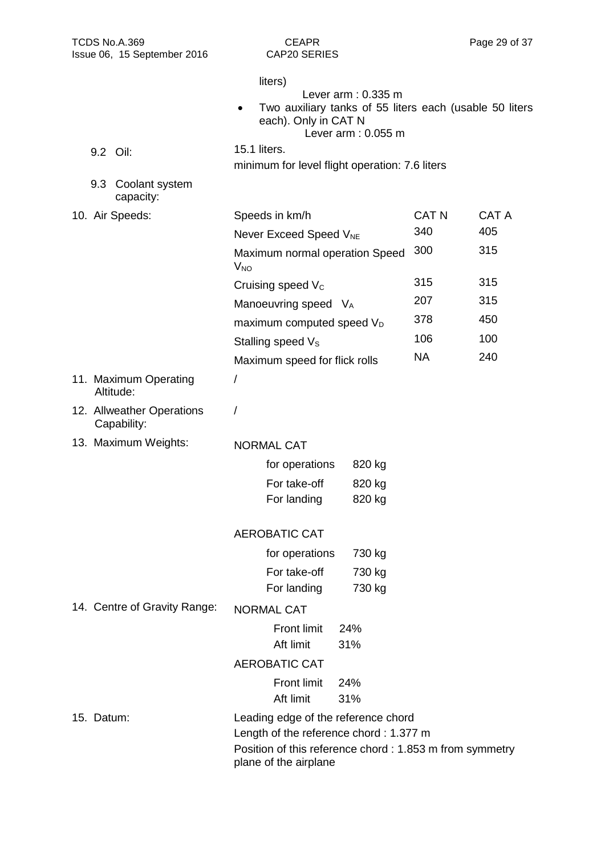| TCDS No.A.369<br>Issue 06, 15 September 2016 | <b>CEAPR</b><br>CAP20 SERIES                                                                                                               | Page 29 of 37 |              |  |
|----------------------------------------------|--------------------------------------------------------------------------------------------------------------------------------------------|---------------|--------------|--|
|                                              | liters)<br>Lever $arm: 0.335 m$<br>Two auxiliary tanks of 55 liters each (usable 50 liters<br>each). Only in CAT N<br>Lever $arm: 0.055 m$ |               |              |  |
| 9.2 Oil:                                     | 15.1 liters.<br>minimum for level flight operation: 7.6 liters                                                                             |               |              |  |
| 9.3 Coolant system<br>capacity:              |                                                                                                                                            |               |              |  |
| 10. Air Speeds:                              | Speeds in km/h                                                                                                                             | <b>CAT N</b>  | <b>CAT A</b> |  |
|                                              | Never Exceed Speed V <sub>NE</sub>                                                                                                         | 340           | 405          |  |
|                                              | Maximum normal operation Speed<br><b>V<sub>NO</sub></b>                                                                                    | 300           | 315          |  |
|                                              | Cruising speed $V_c$                                                                                                                       | 315           | 315          |  |
|                                              | Manoeuvring speed V <sub>A</sub>                                                                                                           | 207           | 315          |  |
|                                              | maximum computed speed V <sub>D</sub>                                                                                                      | 378           | 450          |  |
|                                              | Stalling speed V <sub>s</sub>                                                                                                              | 106           | 100          |  |
|                                              | Maximum speed for flick rolls                                                                                                              | <b>NA</b>     | 240          |  |
| 11. Maximum Operating<br>Altitude:           | /                                                                                                                                          |               |              |  |
| 12. Allweather Operations<br>Capability:     | 7                                                                                                                                          |               |              |  |
| 13. Maximum Weights:                         | <b>NORMAL CAT</b>                                                                                                                          |               |              |  |
|                                              | for operations<br>820 kg                                                                                                                   |               |              |  |
|                                              | 820 kg<br>For take-off                                                                                                                     |               |              |  |
|                                              | For landing<br>820 kg                                                                                                                      |               |              |  |
|                                              | <b>AEROBATIC CAT</b>                                                                                                                       |               |              |  |
|                                              | for operations<br>730 kg                                                                                                                   |               |              |  |
|                                              | For take-off<br>730 kg                                                                                                                     |               |              |  |
|                                              | For landing<br>730 kg                                                                                                                      |               |              |  |
| 14. Centre of Gravity Range:                 | <b>NORMAL CAT</b>                                                                                                                          |               |              |  |
|                                              | <b>Front limit</b><br>24%<br>Aft limit<br>31%                                                                                              |               |              |  |
|                                              | <b>AEROBATIC CAT</b>                                                                                                                       |               |              |  |
|                                              | <b>Front limit</b><br>24%<br>Aft limit<br>31%                                                                                              |               |              |  |
| 15. Datum:                                   | Leading edge of the reference chord                                                                                                        |               |              |  |
|                                              | Length of the reference chord: 1.377 m                                                                                                     |               |              |  |
|                                              | Position of this reference chord: 1.853 m from symmetry<br>plane of the airplane                                                           |               |              |  |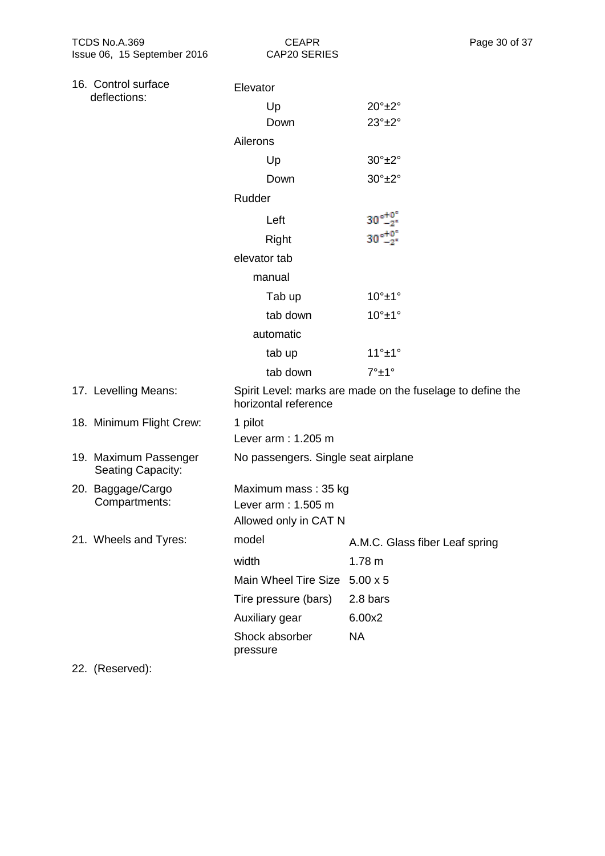| 16. Control surface |                                                   | Elevator                                  |                                     |                                                            |  |
|---------------------|---------------------------------------------------|-------------------------------------------|-------------------------------------|------------------------------------------------------------|--|
|                     | deflections:                                      |                                           | Up                                  | $20^\circ \pm 2^\circ$                                     |  |
|                     |                                                   |                                           | Down                                | $23^\circ \pm 2^\circ$                                     |  |
|                     |                                                   | Ailerons                                  |                                     |                                                            |  |
|                     |                                                   |                                           | Up                                  | $30^\circ \pm 2^\circ$                                     |  |
|                     |                                                   |                                           | Down                                | $30^\circ \pm 2^\circ$                                     |  |
|                     |                                                   | Rudder                                    |                                     |                                                            |  |
|                     |                                                   |                                           | Left                                | $30^{\circ +0.0}_{-2^{\circ}}$                             |  |
|                     |                                                   |                                           | Right                               | $30^{\circ +0}_{-2}$                                       |  |
|                     |                                                   |                                           | elevator tab                        |                                                            |  |
|                     |                                                   |                                           | manual                              |                                                            |  |
|                     |                                                   |                                           | Tab up                              | $10^\circ \pm 1^\circ$                                     |  |
|                     |                                                   |                                           | tab down                            | $10^\circ \pm 1^\circ$                                     |  |
|                     |                                                   | automatic                                 |                                     |                                                            |  |
|                     |                                                   |                                           | tab up                              | $11^\circ \pm 1^\circ$                                     |  |
|                     |                                                   |                                           | tab down                            | $7^\circ \pm 1^\circ$                                      |  |
|                     | 17. Levelling Means:                              |                                           | horizontal reference                | Spirit Level: marks are made on the fuselage to define the |  |
|                     | 18. Minimum Flight Crew:                          | 1 pilot                                   |                                     |                                                            |  |
|                     |                                                   |                                           | Lever arm: 1.205 m                  |                                                            |  |
|                     | 19. Maximum Passenger<br><b>Seating Capacity:</b> |                                           | No passengers. Single seat airplane |                                                            |  |
|                     | 20. Baggage/Cargo<br>Compartments:                | Maximum mass: 35 kg<br>Lever arm: 1.505 m |                                     |                                                            |  |
|                     |                                                   |                                           | Allowed only in CAT N               |                                                            |  |
|                     | 21. Wheels and Tyres:                             | model                                     |                                     | A.M.C. Glass fiber Leaf spring                             |  |
|                     |                                                   | width                                     |                                     | 1.78 m                                                     |  |
|                     |                                                   |                                           | Main Wheel Tire Size                | $5.00 \times 5$                                            |  |
|                     |                                                   |                                           | Tire pressure (bars)                | 2.8 bars                                                   |  |
|                     |                                                   |                                           | Auxiliary gear                      | 6.00x2                                                     |  |
|                     |                                                   | pressure                                  | Shock absorber                      | NA                                                         |  |
|                     |                                                   |                                           |                                     |                                                            |  |

22. (Reserved):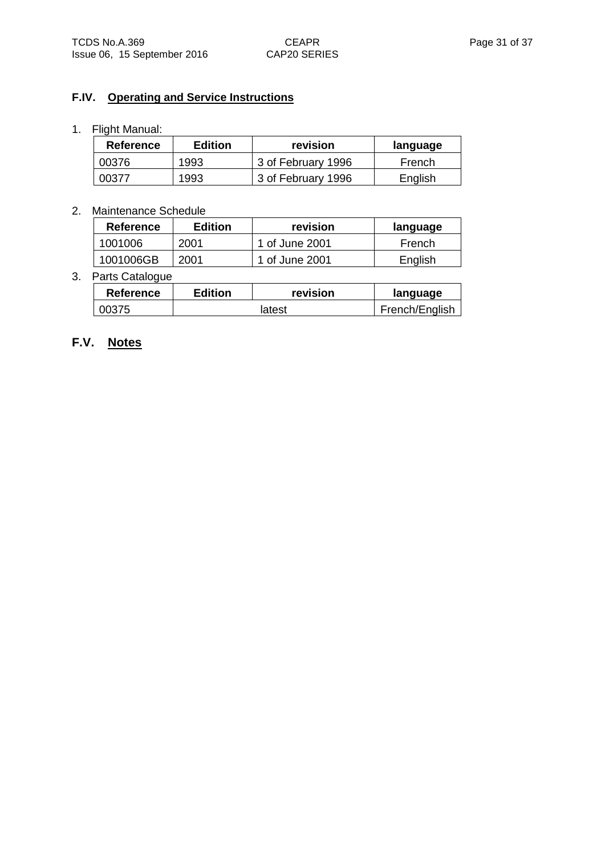### **F.IV. Operating and Service Instructions**

#### 1. Flight Manual:

| <b>Reference</b> | <b>Edition</b> | revision           | language |
|------------------|----------------|--------------------|----------|
| 00376            | 1993           | 3 of February 1996 | French   |
| 00377            | 1993           | 3 of February 1996 | English  |

### 2. Maintenance Schedule

| <b>Reference</b> | <b>Edition</b> | revision       | language |
|------------------|----------------|----------------|----------|
| 1001006          | 2001           | 1 of June 2001 | French   |
| 1001006GB        | 2001           | 1 of June 2001 | English  |

#### 3. Parts Catalogue

| Reference | <b>Edition</b> | revision | language       |
|-----------|----------------|----------|----------------|
| 00375     |                | latest   | French/English |

# **F.V. Notes**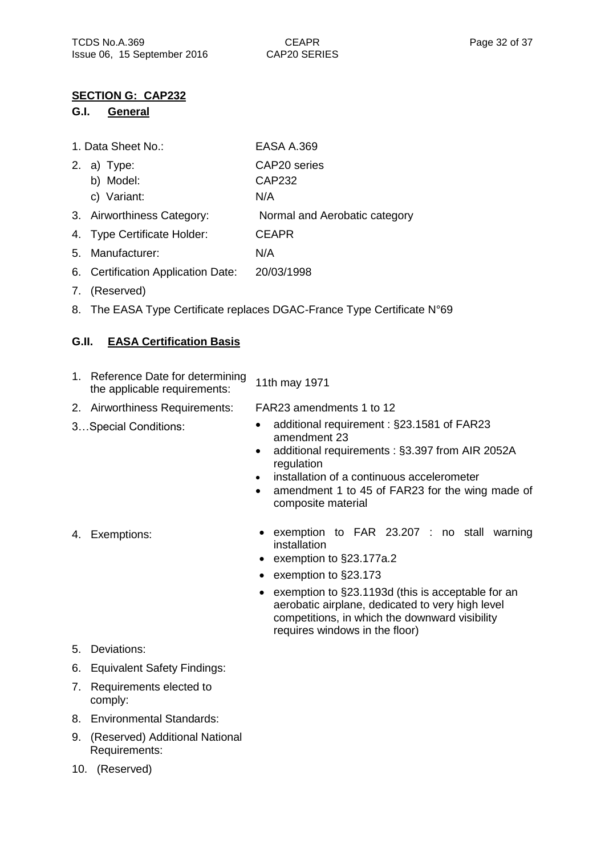### **SECTION G: CAP232**

#### **G.I. General**

| EASA A.369 |
|------------|
|            |

- 2. a) Type: CAP20 series
	- b) Model: CAP232
	- c) Variant: N/A
- 3. Airworthiness Category: Normal and Aerobatic category
- 4. Type Certificate Holder: CEAPR
- 5. Manufacturer: N/A
- 6. Certification Application Date: 20/03/1998
- 7. (Reserved)
- 8. The EASA Type Certificate replaces DGAC-France Type Certificate N°69

## **G.II. EASA Certification Basis**

- 1. Reference Date for determining Reference Date for determining 11th may 1971<br>the applicable requirements:
- 2. Airworthiness Requirements: FAR23 amendments 1 to 12
- 
- 3…Special Conditions: additional requirement : §23.1581 of FAR23 amendment 23
	- additional requirements : §3.397 from AIR 2052A regulation
	- installation of a continuous accelerometer
	- amendment 1 to 45 of FAR23 for the wing made of composite material

- 
- 4. Exemptions: **•** exemption to FAR 23.207 : no stall warning installation
	- exemption to §23.177a.2
	- exemption to §23.173
	- exemption to §23.1193d (this is acceptable for an aerobatic airplane, dedicated to very high level competitions, in which the downward visibility requires windows in the floor)

- 5. Deviations:
- 6. Equivalent Safety Findings:
- 7. Requirements elected to comply:
- 8. Environmental Standards:
- 9. (Reserved) Additional National Requirements:
- 10. (Reserved)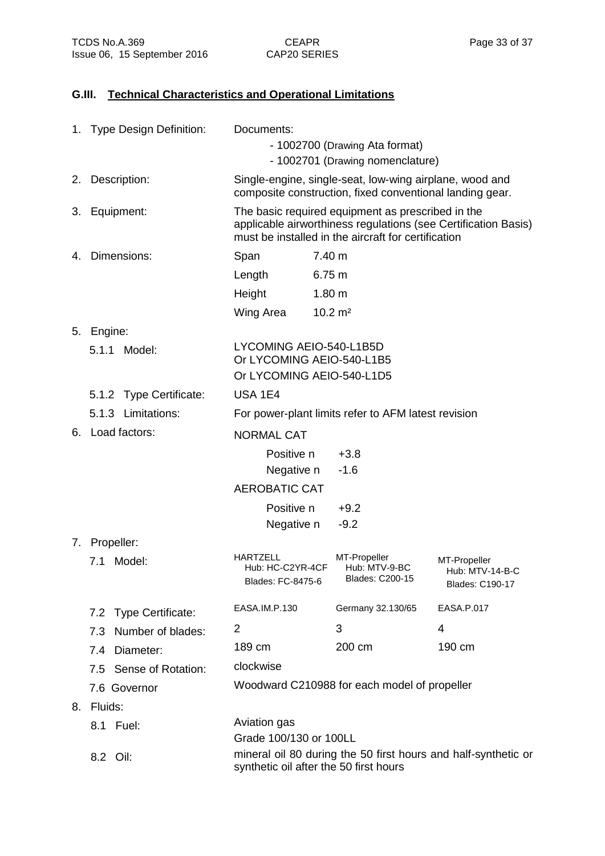## **G.III. Technical Characteristics and Operational Limitations**

|    | 1. Type Design Definition: | Documents:                                                                                                                                                                 |                                                                                                                     |                                                           |  |
|----|----------------------------|----------------------------------------------------------------------------------------------------------------------------------------------------------------------------|---------------------------------------------------------------------------------------------------------------------|-----------------------------------------------------------|--|
|    |                            | - 1002700 (Drawing Ata format)                                                                                                                                             |                                                                                                                     |                                                           |  |
|    |                            | - 1002701 (Drawing nomenclature)                                                                                                                                           |                                                                                                                     |                                                           |  |
|    | 2. Description:            |                                                                                                                                                                            | Single-engine, single-seat, low-wing airplane, wood and<br>composite construction, fixed conventional landing gear. |                                                           |  |
| 3. | Equipment:                 | The basic required equipment as prescribed in the<br>applicable airworthiness regulations (see Certification Basis)<br>must be installed in the aircraft for certification |                                                                                                                     |                                                           |  |
| 4. | Dimensions:                | Span                                                                                                                                                                       | 7.40 m                                                                                                              |                                                           |  |
|    |                            | Length                                                                                                                                                                     | 6.75 m                                                                                                              |                                                           |  |
|    |                            | Height                                                                                                                                                                     | 1.80 <sub>m</sub>                                                                                                   |                                                           |  |
|    |                            | Wing Area                                                                                                                                                                  | $10.2 \text{ m}^2$                                                                                                  |                                                           |  |
|    | 5. Engine:                 |                                                                                                                                                                            |                                                                                                                     |                                                           |  |
|    | Model:<br>5.1.1            | LYCOMING AEIO-540-L1B5D<br>Or LYCOMING AEIO-540-L1B5<br>Or LYCOMING AEIO-540-L1D5                                                                                          |                                                                                                                     |                                                           |  |
|    | 5.1.2 Type Certificate:    | <b>USA 1E4</b>                                                                                                                                                             |                                                                                                                     |                                                           |  |
|    | 5.1.3 Limitations:         |                                                                                                                                                                            | For power-plant limits refer to AFM latest revision                                                                 |                                                           |  |
|    | 6. Load factors:           | <b>NORMAL CAT</b>                                                                                                                                                          |                                                                                                                     |                                                           |  |
|    |                            | Positive n<br>Negative n                                                                                                                                                   | $+3.8$<br>$-1.6$                                                                                                    |                                                           |  |
|    |                            | <b>AEROBATIC CAT</b>                                                                                                                                                       |                                                                                                                     |                                                           |  |
|    |                            | Positive n                                                                                                                                                                 | $+9.2$                                                                                                              |                                                           |  |
|    |                            | Negative n                                                                                                                                                                 | $-9.2$                                                                                                              |                                                           |  |
|    | 7. Propeller:              |                                                                                                                                                                            |                                                                                                                     |                                                           |  |
|    | Model:<br>7.1              | <b>HARTZELL</b><br>Hub: HC-C2YR-4CF<br>Blades: FC-8475-6                                                                                                                   | MT-Propeller<br>Hub: MTV-9-BC<br>Blades: C200-15                                                                    | MT-Propeller<br>Hub: MTV-14-B-C<br><b>Blades: C190-17</b> |  |
|    | 7.2 Type Certificate:      | EASA.IM.P.130                                                                                                                                                              | Germany 32.130/65                                                                                                   | EASA.P.017                                                |  |
|    | 7.3 Number of blades:      | 2                                                                                                                                                                          | 3                                                                                                                   | 4                                                         |  |
|    | 7.4 Diameter:              | 189 cm                                                                                                                                                                     | 200 cm                                                                                                              | 190 cm                                                    |  |
|    | 7.5 Sense of Rotation:     | clockwise                                                                                                                                                                  |                                                                                                                     |                                                           |  |
|    | 7.6 Governor               |                                                                                                                                                                            | Woodward C210988 for each model of propeller                                                                        |                                                           |  |
|    | 8. Fluids:                 |                                                                                                                                                                            |                                                                                                                     |                                                           |  |
|    | 8.1 Fuel:                  | Aviation gas                                                                                                                                                               |                                                                                                                     |                                                           |  |
|    |                            | Grade 100/130 or 100LL                                                                                                                                                     |                                                                                                                     |                                                           |  |
|    | 8.2 Oil:                   | mineral oil 80 during the 50 first hours and half-synthetic or<br>synthetic oil after the 50 first hours                                                                   |                                                                                                                     |                                                           |  |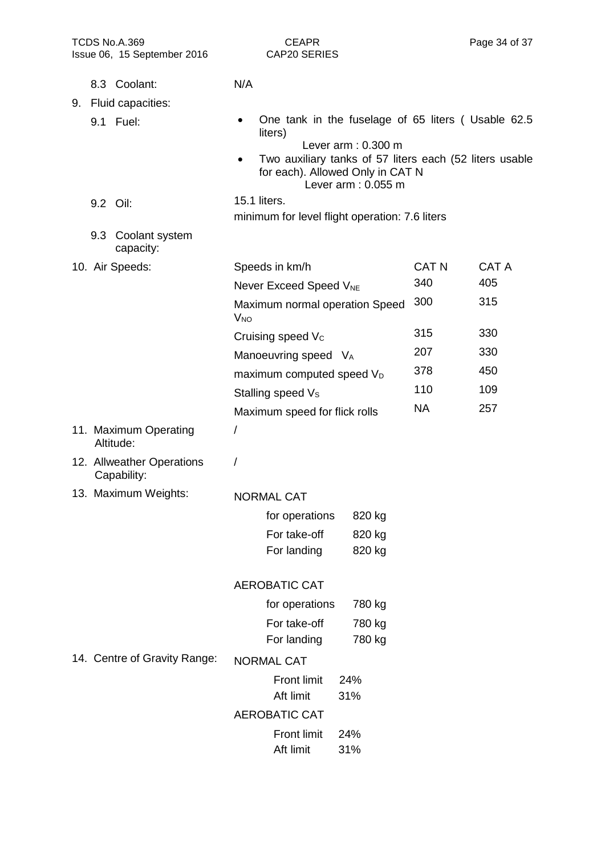| TCDS No.A.369<br>Issue 06, 15 September 2016 | <b>CEAPR</b><br>CAP20 SERIES                                                                                      | Page 34 of 37                |
|----------------------------------------------|-------------------------------------------------------------------------------------------------------------------|------------------------------|
| 8.3 Coolant:                                 | N/A                                                                                                               |                              |
| 9. Fluid capacities:                         |                                                                                                                   |                              |
| 9.1 Fuel:                                    | One tank in the fuselage of 65 liters (Usable 62.5<br>liters)<br>Lever $arm: 0.300 m$                             |                              |
|                                              | Two auxiliary tanks of 57 liters each (52 liters usable<br>for each). Allowed Only in CAT N<br>Lever arm: 0.055 m |                              |
| 9.2 Oil:                                     | 15.1 liters.<br>minimum for level flight operation: 7.6 liters                                                    |                              |
| 9.3 Coolant system<br>capacity:              |                                                                                                                   |                              |
| 10. Air Speeds:                              | Speeds in km/h                                                                                                    | <b>CAT N</b><br><b>CAT A</b> |
|                                              | Never Exceed Speed V <sub>NE</sub>                                                                                | 340<br>405                   |
|                                              | Maximum normal operation Speed<br>$V_{NO}$                                                                        | 300<br>315                   |
|                                              | Cruising speed V <sub>c</sub>                                                                                     | 330<br>315                   |
|                                              | Manoeuvring speed VA                                                                                              | 207<br>330                   |
|                                              | maximum computed speed V <sub>D</sub>                                                                             | 378<br>450                   |
|                                              | Stalling speed V <sub>s</sub>                                                                                     | 110<br>109                   |
|                                              | Maximum speed for flick rolls                                                                                     | <b>NA</b><br>257             |
| 11. Maximum Operating<br>Altitude:           | /                                                                                                                 |                              |
| 12. Allweather Operations<br>Capability:     | Ι                                                                                                                 |                              |
| 13. Maximum Weights:                         | <b>NORMAL CAT</b>                                                                                                 |                              |
|                                              | for operations<br>820 kg                                                                                          |                              |
|                                              | For take-off<br>820 kg                                                                                            |                              |
|                                              | For landing<br>820 kg                                                                                             |                              |
|                                              | <b>AEROBATIC CAT</b>                                                                                              |                              |
|                                              | for operations<br>780 kg                                                                                          |                              |
|                                              | For take-off<br>780 kg                                                                                            |                              |
|                                              | For landing<br>780 kg                                                                                             |                              |
| 14. Centre of Gravity Range:                 | <b>NORMAL CAT</b>                                                                                                 |                              |
|                                              | <b>Front limit</b><br>24%<br>Aft limit<br>31%                                                                     |                              |
|                                              | <b>AEROBATIC CAT</b>                                                                                              |                              |
|                                              | <b>Front limit</b><br>24%<br>Aft limit<br>31%                                                                     |                              |
|                                              |                                                                                                                   |                              |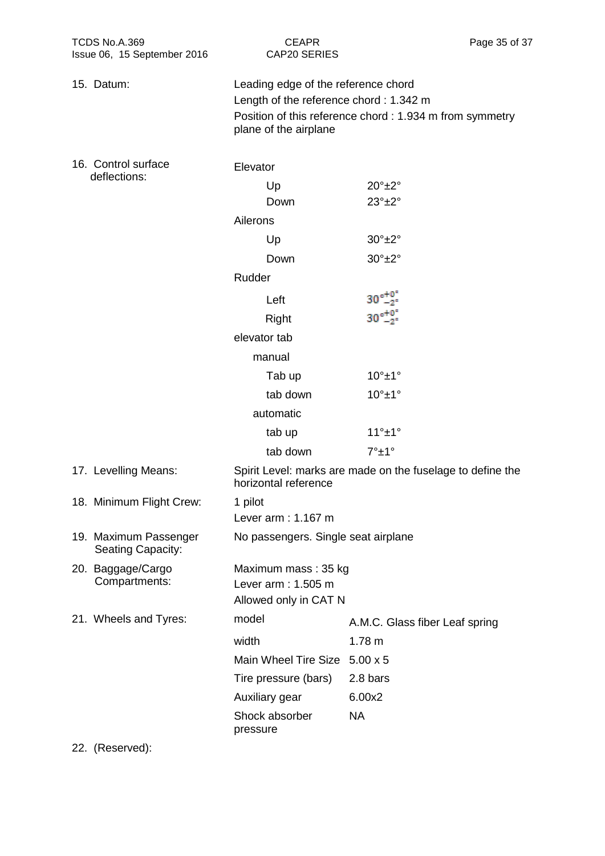| TCDS No.A.369<br>Issue 06, 15 September 2016 | <b>CEAPR</b><br><b>CAP20 SERIES</b>                                                                    | Page 35 of 37                                            |  |  |  |
|----------------------------------------------|--------------------------------------------------------------------------------------------------------|----------------------------------------------------------|--|--|--|
| 15. Datum:                                   | Leading edge of the reference chord<br>Length of the reference chord: 1.342 m<br>plane of the airplane | Position of this reference chord : 1.934 m from symmetry |  |  |  |
| 16. Control surface<br>deflections:          | Elevator                                                                                               |                                                          |  |  |  |
|                                              | Up                                                                                                     | $20^\circ \pm 2^\circ$                                   |  |  |  |
|                                              | Down                                                                                                   | $23^\circ \pm 2^\circ$                                   |  |  |  |
|                                              | Ailerons                                                                                               |                                                          |  |  |  |
|                                              | Up                                                                                                     | $30^\circ \pm 2^\circ$                                   |  |  |  |
|                                              | Down                                                                                                   | $30^\circ \pm 2^\circ$                                   |  |  |  |
|                                              | Rudder                                                                                                 |                                                          |  |  |  |
|                                              | Left                                                                                                   | $30^{\circ +0}_{-2}$                                     |  |  |  |
|                                              | Right                                                                                                  | $30\frac{+0}{-2}$                                        |  |  |  |
|                                              | elevator tab                                                                                           |                                                          |  |  |  |
|                                              | manual                                                                                                 |                                                          |  |  |  |
|                                              | Tab up                                                                                                 | $10^\circ \pm 1^\circ$                                   |  |  |  |
|                                              | tab down                                                                                               | $10^\circ \pm 1^\circ$                                   |  |  |  |
|                                              | automatic                                                                                              |                                                          |  |  |  |
|                                              | tab up                                                                                                 | $11^\circ \pm 1^\circ$                                   |  |  |  |
|                                              | tab down                                                                                               | $7^\circ \pm 1^\circ$                                    |  |  |  |
| 17. Levelling Means:                         | Spirit Level: marks are made on the fuselage to define the<br>horizontal reference                     |                                                          |  |  |  |
| 18. Minimum Flight Crew:                     | 1 pilot                                                                                                |                                                          |  |  |  |
|                                              | Lever arm: 1.167 m                                                                                     |                                                          |  |  |  |
| 19. Maximum Passenger<br>Seating Capacity:   | No passengers. Single seat airplane                                                                    |                                                          |  |  |  |
| 20. Baggage/Cargo<br>Compartments:           | Maximum mass: 35 kg<br>Lever arm: 1.505 m<br>Allowed only in CAT N                                     |                                                          |  |  |  |
| 21. Wheels and Tyres:                        | model                                                                                                  | A.M.C. Glass fiber Leaf spring                           |  |  |  |
|                                              | width                                                                                                  | 1.78 m                                                   |  |  |  |
|                                              | Main Wheel Tire Size 5.00 x 5                                                                          |                                                          |  |  |  |
|                                              | Tire pressure (bars)                                                                                   | 2.8 bars                                                 |  |  |  |
|                                              | Auxiliary gear                                                                                         | 6.00x2                                                   |  |  |  |
|                                              | Shock absorber<br>pressure                                                                             | <b>NA</b>                                                |  |  |  |

22. (Reserved):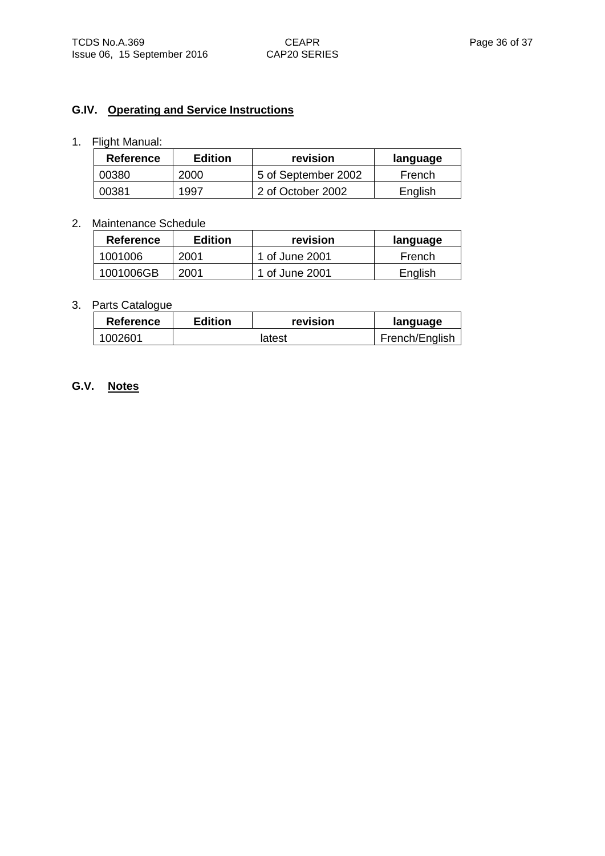# **G.IV. Operating and Service Instructions**

## 1. Flight Manual:

| <b>Reference</b> | <b>Edition</b> | revision            | language |
|------------------|----------------|---------------------|----------|
| 00380            | 2000           | 5 of September 2002 | French   |
| 00381            | 1997           | 2 of October 2002   | English  |

#### 2. Maintenance Schedule

| Reference | <b>Edition</b> | revision       | language |
|-----------|----------------|----------------|----------|
| 1001006   | 2001           | 1 of June 2001 | French   |
| 1001006GB | 2001           | 1 of June 2001 | English  |

#### 3. Parts Catalogue

| <b>Reference</b> | Edition | revision | language       |
|------------------|---------|----------|----------------|
| 1002601          | latest  |          | French/English |

# **G.V. Notes**